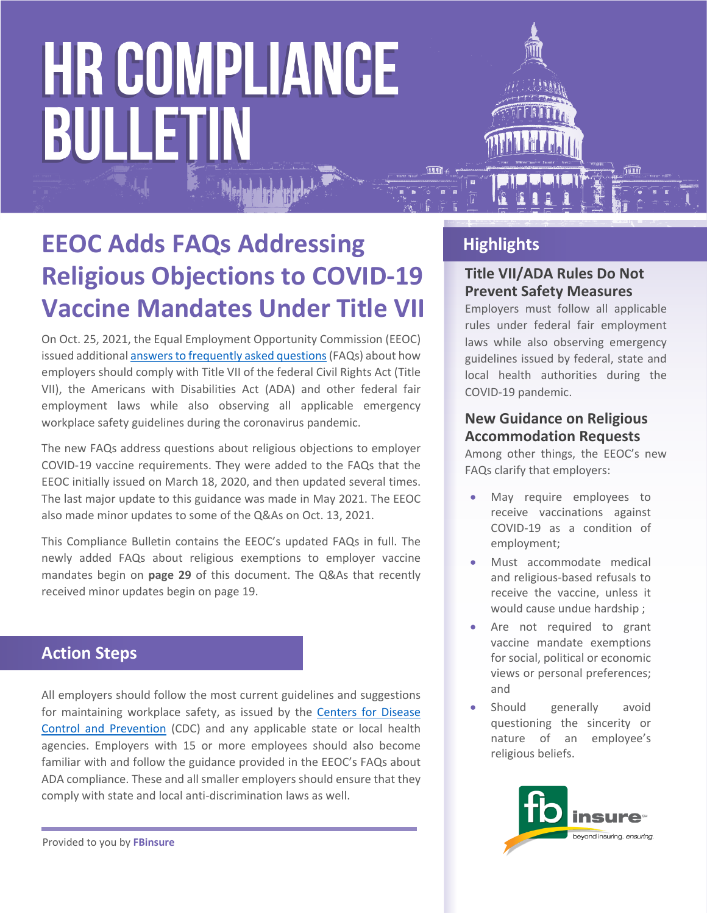### **EEOC Adds FAQs Addressing Religious Objections to COVID-19 Vaccine Mandates Under Title VII**

On Oct. 25, 2021, the Equal Employment Opportunity Commission (EEOC) issued additional [answers to frequently asked questions](https://www.eeoc.gov/wysk/what-you-should-know-about-covid-19-and-ada-rehabilitation-act-and-other-eeo-laws) (FAQs) about how employers should comply with Title VII of the federal Civil Rights Act (Title VII), the Americans with Disabilities Act (ADA) and other federal fair employment laws while also observing all applicable emergency workplace safety guidelines during the coronavirus pandemic.

The new FAQs address questions about religious objections to employer COVID-19 vaccine requirements. They were added to the FAQs that the EEOC initially issued on March 18, 2020, and then updated several times. The last major update to this guidance was made in May 2021. The EEOC also made minor updates to some of the Q&As on Oct. 13, 2021.

This Compliance Bulletin contains the EEOC's updated FAQs in full. The newly added FAQs about religious exemptions to employer vaccine mandates begin on **page 29** of this document. The Q&As that recently received minor updates begin on page 19.

### **Action Steps**

All employers should follow the most current guidelines and suggestions for maintaining workplace safety, as issued by the [Centers for Disease](https://nam05.safelinks.protection.outlook.com/?url=https%3A%2F%2Flnks.gd%2Fl%2FeyJhbGciOiJIUzI1NiJ9.eyJidWxsZXRpbl9saW5rX2lkIjoxMDEsInVyaSI6ImJwMjpjbGljayIsImJ1bGxldGluX2lkIjoiMjAyMDAzMTguMTg5MjM2OTEiLCJ1cmwiOiJodHRwczovL3d3dy5jZGMuZ292L2Nvcm9uYXZpcnVzLzIwMTktbmNvdi9jb21tdW5pdHkvZ3VpZGFuY2UtYnVzaW5lc3MtcmVzcG9uc2UuaHRtbD91dG1fY29udGVudD0mdXRtX21lZGl1bT1lbWFpbCZ1dG1fbmFtZT0mdXRtX3NvdXJjZT1nb3ZkZWxpdmVyeSZ1dG1fdGVybT0ifQ.lQrGyDaZmkFDqVY4_tipQ8Lb_MFGxpkERgku0eutf_0%2Fbr%2F76270304526-l&data=02%7C01%7Ccarriemay.poniewaz%40zywave.com%7C3c1fba480fa14ae0c17b08d7cb5956fc%7Cbd0c095f5d664273a20964796ae91974%7C0%7C0%7C637201456883243054&sdata=NoYxc5ZmYvuGMyGEMCTv%2FvPaooU375tAHdVwtmHOu4w%3D&reserved=0)  [Control and Prevention](https://nam05.safelinks.protection.outlook.com/?url=https%3A%2F%2Flnks.gd%2Fl%2FeyJhbGciOiJIUzI1NiJ9.eyJidWxsZXRpbl9saW5rX2lkIjoxMDEsInVyaSI6ImJwMjpjbGljayIsImJ1bGxldGluX2lkIjoiMjAyMDAzMTguMTg5MjM2OTEiLCJ1cmwiOiJodHRwczovL3d3dy5jZGMuZ292L2Nvcm9uYXZpcnVzLzIwMTktbmNvdi9jb21tdW5pdHkvZ3VpZGFuY2UtYnVzaW5lc3MtcmVzcG9uc2UuaHRtbD91dG1fY29udGVudD0mdXRtX21lZGl1bT1lbWFpbCZ1dG1fbmFtZT0mdXRtX3NvdXJjZT1nb3ZkZWxpdmVyeSZ1dG1fdGVybT0ifQ.lQrGyDaZmkFDqVY4_tipQ8Lb_MFGxpkERgku0eutf_0%2Fbr%2F76270304526-l&data=02%7C01%7Ccarriemay.poniewaz%40zywave.com%7C3c1fba480fa14ae0c17b08d7cb5956fc%7Cbd0c095f5d664273a20964796ae91974%7C0%7C0%7C637201456883243054&sdata=NoYxc5ZmYvuGMyGEMCTv%2FvPaooU375tAHdVwtmHOu4w%3D&reserved=0) (CDC) and any applicable state or local health agencies. Employers with 15 or more employees should also become familiar with and follow the guidance provided in the EEOC's FAQs about ADA compliance. These and all smaller employers should ensure that they comply with state and local anti-discrimination laws as well.

**Highlights**

### **Title VII/ADA Rules Do Not Prevent Safety Measures**

Employers must follow all applicable rules under federal fair employment laws while also observing emergency guidelines issued by federal, state and local health authorities during the COVID-19 pandemic.

### **New Guidance on Religious Accommodation Requests**

Among other things, the EEOC's new FAQs clarify that employers:

- May require employees to receive vaccinations against COVID-19 as a condition of employment;
- Must accommodate medical and religious-based refusals to receive the vaccine, unless it would cause undue hardship ;
- Are not required to grant vaccine mandate exemptions for social, political or economic views or personal preferences; and
- Should generally avoid questioning the sincerity or nature of an employee's religious beliefs.



Provided to you by **FBinsure**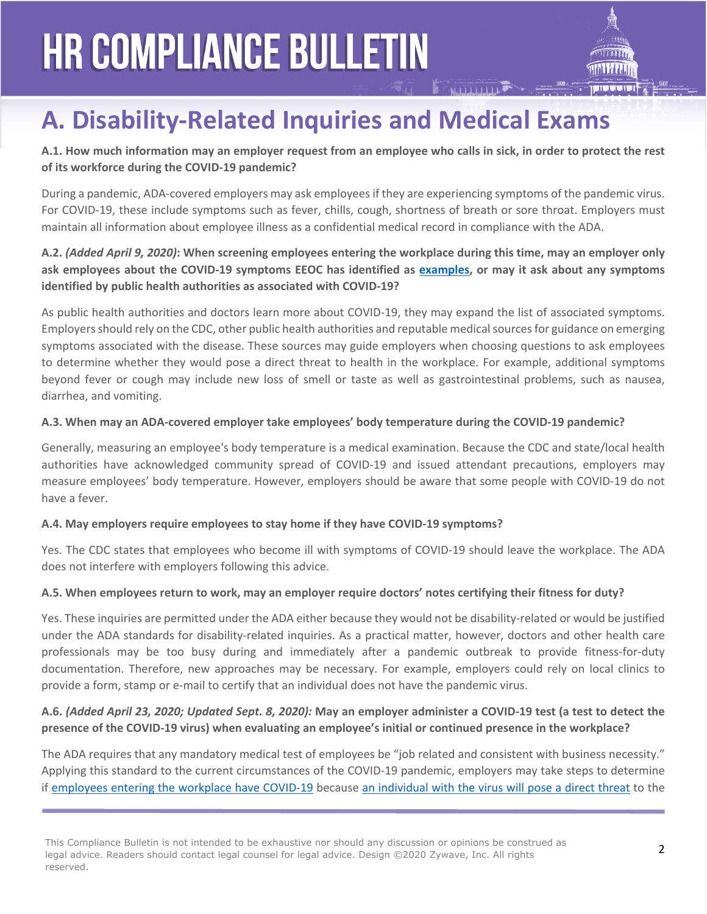### **A. Disability-Related Inquiries and Medical Exams**

**A.1. How much information may an employer request from an employee who calls in sick, in order to protect the rest of its workforce during the COVID-19 pandemic?** 

During a pandemic, ADA-covered employers may ask employees if they are experiencing symptoms of the pandemic virus. For COVID-19, these include symptoms such as fever, chills, cough, shortness of breath or sore throat. Employers must maintain all information about employee illness as a confidential medical record in compliance with the ADA.

### **A.2.** *(Added April 9, 2020)***: When screening employees entering the workplace during this time, may an employer only ask employees about the COVID-19 symptoms EEOC has identified as [examples,](https://www.eeoc.gov/coronavirus/webinar_transcript.cfm#q1) or may it ask about any symptoms identified by public health authorities as associated with COVID-19?**

As public health authorities and doctors learn more about COVID-19, they may expand the list of associated symptoms. Employers should rely on the CDC, other public health authorities and reputable medical sources for guidance on emerging symptoms associated with the disease. These sources may guide employers when choosing questions to ask employees to determine whether they would pose a direct threat to health in the workplace. For example, additional symptoms beyond fever or cough may include new loss of smell or taste as well as gastrointestinal problems, such as nausea, diarrhea, and vomiting.

#### **A.3. When may an ADA-covered employer take employees' body temperature during the COVID-19 pandemic?**

Generally, measuring an employee's body temperature is a medical examination. Because the CDC and state/local health authorities have acknowledged community spread of COVID-19 and issued attendant precautions, employers may measure employees' body temperature. However, employers should be aware that some people with COVID-19 do not have a fever.

### **A.4. May employers require employees to stay home if they have COVID-19 symptoms?**

Yes. The CDC states that employees who become ill with symptoms of COVID-19 should leave the workplace. The ADA does not interfere with employers following this advice.

#### **A.5. When employees return to work, may an employer require doctors' notes certifying their fitness for duty?**

Yes. These inquiries are permitted under the ADA either because they would not be disability-related or would be justified under the ADA standards for disability-related inquiries. As a practical matter, however, doctors and other health care professionals may be too busy during and immediately after a pandemic outbreak to provide fitness-for-duty documentation. Therefore, new approaches may be necessary. For example, employers could rely on local clinics to provide a form, stamp or e-mail to certify that an individual does not have the pandemic virus.

#### **A.6.** *(Added April 23, 2020; Updated Sept. 8, 2020):* **May an employer administer a COVID-19 test (a test to detect the presence of the COVID-19 virus) when evaluating an employee's initial or continued presence in the workplace?**

The ADA requires that any mandatory medical test of employees be "job related and consistent with business necessity." Applying this standard to the current circumstances of the COVID-19 pandemic, employers may take steps to determine if [employees entering the workplace have COVID-19](https://www.eeoc.gov/eeoc/newsroom/wysk/wysk_ada_rehabilitaion_act_coronavirus.cfm?utm_content=&utm_medium=email&utm_name=&utm_source=govdelivery&utm_term=#A.2) because [an individual with the virus will pose a direct threat](https://www.eeoc.gov/coronavirus/webinar_transcript.cfm#q1) to the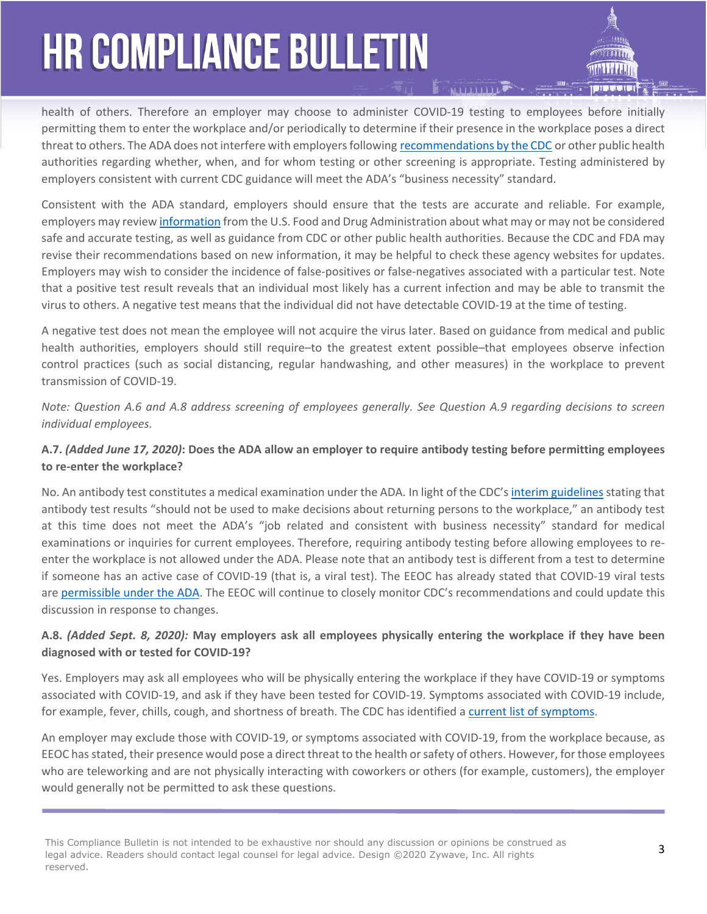health of others. Therefore an employer may choose to administer COVID-19 testing to employees before initially permitting them to enter the workplace and/or periodically to determine if their presence in the workplace poses a direct threat to others. The ADA does not interfere with employers following [recommendations by the CDC](https://www.cdc.gov/coronavirus/2019-ncov/community/organizations/testing-non-healthcare-workplaces.html) or other public health authorities regarding whether, when, and for whom testing or other screening is appropriate. Testing administered by employers consistent with current CDC guidance will meet the ADA's "business necessity" standard.

Consistent with the ADA standard, employers should ensure that the tests are accurate and reliable. For example, employers may review [information](https://www.fda.gov/medical-devices/emergency-situations-medical-devices/faqs-diagnostic-testing-sars-cov-2) from the U.S. Food and Drug Administration about what may or may not be considered safe and accurate testing, as well as guidance from CDC or other public health authorities. Because the CDC and FDA may revise their recommendations based on new information, it may be helpful to check these agency websites for updates. Employers may wish to consider the incidence of false-positives or false-negatives associated with a particular test. Note that a positive test result reveals that an individual most likely has a current infection and may be able to transmit the virus to others. A negative test means that the individual did not have detectable COVID-19 at the time of testing.

A negative test does not mean the employee will not acquire the virus later. Based on guidance from medical and public health authorities, employers should still require–to the greatest extent possible–that employees observe infection control practices (such as social distancing, regular handwashing, and other measures) in the workplace to prevent transmission of COVID-19.

*Note: Question A.6 and A.8 address screening of employees generally. See Question A.9 regarding decisions to screen individual employees.*

### **A.7.** *(Added June 17, 2020)***: Does the ADA allow an employer to require antibody testing before permitting employees to re-enter the workplace?**

No. An antibody test constitutes a medical examination under the ADA. In light of the CDC's [interim guidelines](https://www.cdc.gov/coronavirus/2019-ncov/lab/resources/antibody-tests-guidelines.html) stating that antibody test results "should not be used to make decisions about returning persons to the workplace," an antibody test at this time does not meet the ADA's "job related and consistent with business necessity" standard for medical examinations or inquiries for current employees. Therefore, requiring antibody testing before allowing employees to reenter the workplace is not allowed under the ADA. Please note that an antibody test is different from a test to determine if someone has an active case of COVID-19 (that is, a viral test). The EEOC has already stated that COVID-19 viral tests are [permissible under the ADA.](https://www.eeoc.gov/wysk/what-you-should-know-about-covid-19-and-ada-rehabilitation-act-and-other-eeo-laws?utm_content=&utm_medium=email&utm_name=&utm_source=govdelivery&utm_term=#A.6) The EEOC will continue to closely monitor CDC's recommendations and could update this discussion in response to changes.

#### **A.8.** *(Added Sept. 8, 2020):* **May employers ask all employees physically entering the workplace if they have been diagnosed with or tested for COVID-19?**

Yes. Employers may ask all employees who will be physically entering the workplace if they have COVID-19 or symptoms associated with COVID-19, and ask if they have been tested for COVID-19. Symptoms associated with COVID-19 include, for example, fever, chills, cough, and shortness of breath. The CDC has identified a [current list of symptoms](https://www.cdc.gov/coronavirus/2019-ncov/symptoms-testing/symptoms.html).

An employer may exclude those with COVID-19, or symptoms associated with COVID-19, from the workplace because, as EEOC has stated, their presence would pose a direct threat to the health or safety of others. However, for those employees who are teleworking and are not physically interacting with coworkers or others (for example, customers), the employer would generally not be permitted to ask these questions.

This Compliance Bulletin is not intended to be exhaustive nor should any discussion or opinions be construed as legal advice. Readers should contact legal counsel for legal advice. Design ©2020 Zywave, Inc. All rights reserved.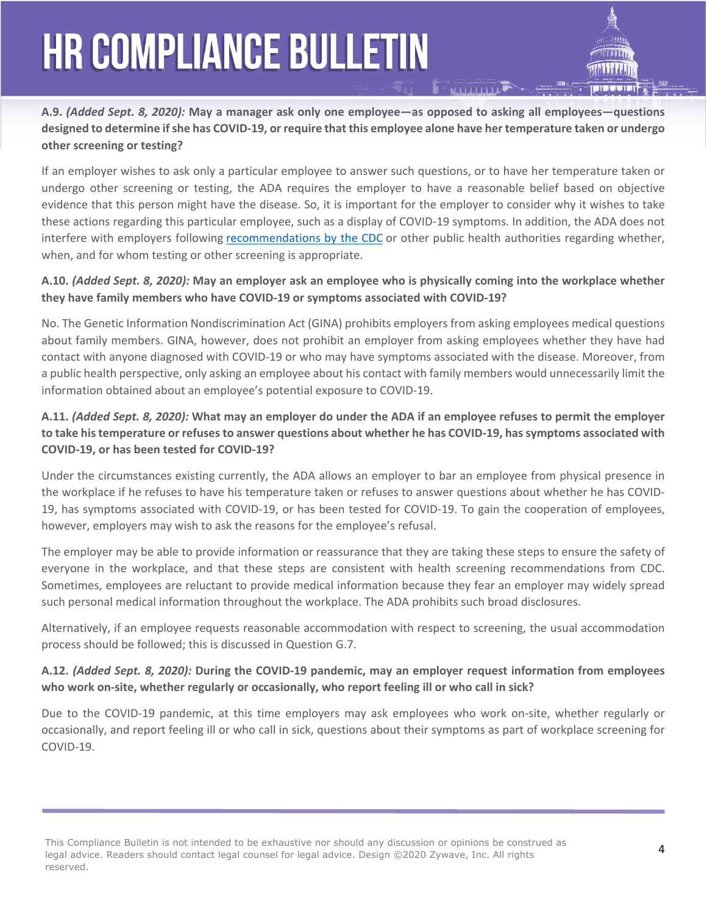**A.9.** *(Added Sept. 8, 2020):* **May a manager ask only one employee—as opposed to asking all employees—questions designed to determine if she has COVID-19, or require that this employee alone have her temperature taken or undergo other screening or testing?**

If an employer wishes to ask only a particular employee to answer such questions, or to have her temperature taken or undergo other screening or testing, the ADA requires the employer to have a reasonable belief based on objective evidence that this person might have the disease. So, it is important for the employer to consider why it wishes to take these actions regarding this particular employee, such as a display of COVID-19 symptoms. In addition, the ADA does not interfere with employers following [recommendations by the CDC](https://www.cdc.gov/coronavirus/2019-ncov/community/organizations/testing-non-healthcare-workplaces.html) or other public health authorities regarding whether, when, and for whom testing or other screening is appropriate.

#### **A.10.** *(Added Sept. 8, 2020):* **May an employer ask an employee who is physically coming into the workplace whether they have family members who have COVID-19 or symptoms associated with COVID-19?**

No. The Genetic Information Nondiscrimination Act (GINA) prohibits employers from asking employees medical questions about family members. GINA, however, does not prohibit an employer from asking employees whether they have had contact with anyone diagnosed with COVID-19 or who may have symptoms associated with the disease. Moreover, from a public health perspective, only asking an employee about his contact with family members would unnecessarily limit the information obtained about an employee's potential exposure to COVID-19.

### **A.11.** *(Added Sept. 8, 2020):* **What may an employer do under the ADA if an employee refuses to permit the employer to take his temperature or refuses to answer questions about whether he has COVID-19, has symptoms associated with COVID-19, or has been tested for COVID-19?**

Under the circumstances existing currently, the ADA allows an employer to bar an employee from physical presence in the workplace if he refuses to have his temperature taken or refuses to answer questions about whether he has COVID-19, has symptoms associated with COVID-19, or has been tested for COVID-19. To gain the cooperation of employees, however, employers may wish to ask the reasons for the employee's refusal.

The employer may be able to provide information or reassurance that they are taking these steps to ensure the safety of everyone in the workplace, and that these steps are consistent with health screening recommendations from CDC. Sometimes, employees are reluctant to provide medical information because they fear an employer may widely spread such personal medical information throughout the workplace. The ADA prohibits such broad disclosures.

Alternatively, if an employee requests reasonable accommodation with respect to screening, the usual accommodation process should be followed; this is discussed in Question G.7.

#### **A.12.** *(Added Sept. 8, 2020):* **During the COVID-19 pandemic, may an employer request information from employees who work on-site, whether regularly or occasionally, who report feeling ill or who call in sick?**

Due to the COVID-19 pandemic, at this time employers may ask employees who work on-site, whether regularly or occasionally, and report feeling ill or who call in sick, questions about their symptoms as part of workplace screening for COVID-19.

This Compliance Bulletin is not intended to be exhaustive nor should any discussion or opinions be construed as legal advice. Readers should contact legal counsel for legal advice. Design ©2020 Zywave, Inc. All rights reserved.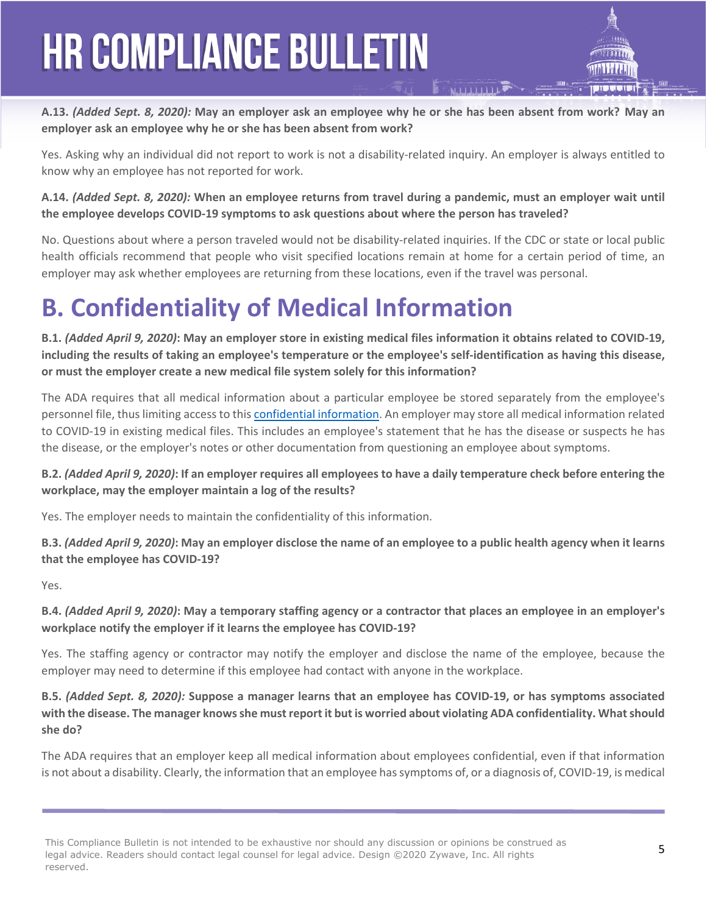**A.13.** *(Added Sept. 8, 2020):* **May an employer ask an employee why he or she has been absent from work? May an employer ask an employee why he or she has been absent from work?** 

Yes. Asking why an individual did not report to work is not a disability-related inquiry. An employer is always entitled to know why an employee has not reported for work.

**A.14.** *(Added Sept. 8, 2020):* **When an employee returns from travel during a pandemic, must an employer wait until the employee develops COVID-19 symptoms to ask questions about where the person has traveled?** 

No. Questions about where a person traveled would not be disability-related inquiries. If the CDC or state or local public health officials recommend that people who visit specified locations remain at home for a certain period of time, an employer may ask whether employees are returning from these locations, even if the travel was personal.

### **B. Confidentiality of Medical Information**

**B.1.** *(Added April 9, 2020)***: May an employer store in existing medical files information it obtains related to COVID-19, including the results of taking an employee's temperature or the employee's self-identification as having this disease, or must the employer create a new medical file system solely for this information?** 

The ADA requires that all medical information about a particular employee be stored separately from the employee's personnel file, thus limiting access to this [confidential information](https://www.eeoc.gov/coronavirus/webinar_transcript.cfm#q9). An employer may store all medical information related to COVID-19 in existing medical files. This includes an employee's statement that he has the disease or suspects he has the disease, or the employer's notes or other documentation from questioning an employee about symptoms.

**B.2.** *(Added April 9, 2020)***: If an employer requires all employees to have a daily temperature check before entering the workplace, may the employer maintain a log of the results?** 

Yes. The employer needs to maintain the confidentiality of this information.

**B.3.** *(Added April 9, 2020)***: May an employer disclose the name of an employee to a public health agency when it learns that the employee has COVID-19?**

Yes.

**B.4.** *(Added April 9, 2020)***: May a temporary staffing agency or a contractor that places an employee in an employer's workplace notify the employer if it learns the employee has COVID-19?** 

Yes. The staffing agency or contractor may notify the employer and disclose the name of the employee, because the employer may need to determine if this employee had contact with anyone in the workplace.

**B.5.** *(Added Sept. 8, 2020):* **Suppose a manager learns that an employee has COVID-19, or has symptoms associated with the disease. The manager knows she must report it but is worried about violating ADA confidentiality. What should she do?**

The ADA requires that an employer keep all medical information about employees confidential, even if that information is not about a disability. Clearly, the information that an employee has symptoms of, or a diagnosis of, COVID-19, is medical

This Compliance Bulletin is not intended to be exhaustive nor should any discussion or opinions be construed as legal advice. Readers should contact legal counsel for legal advice. Design ©2020 Zywave, Inc. All rights reserved.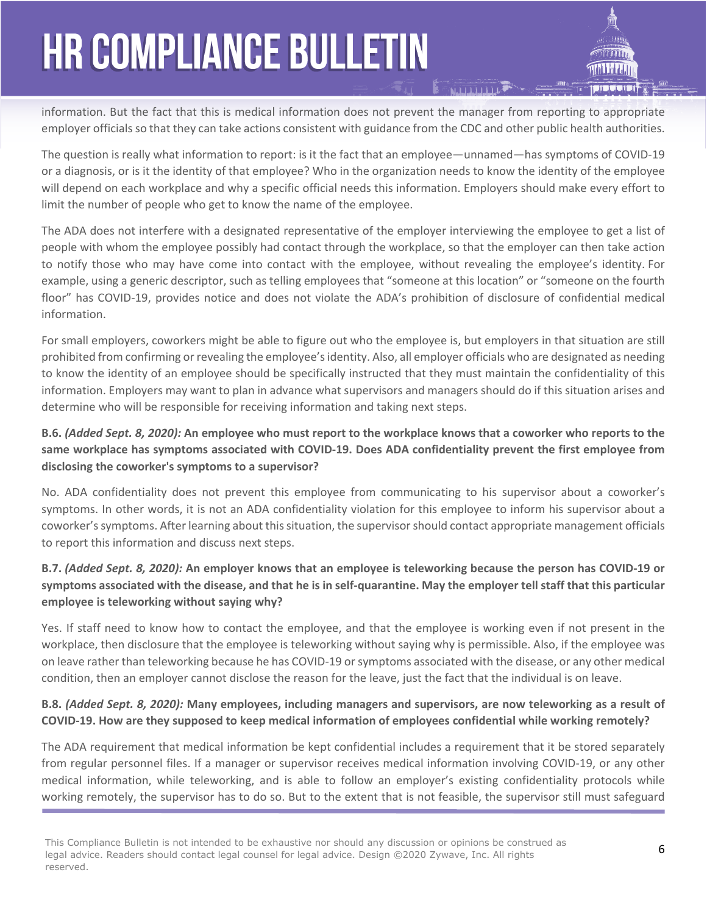information. But the fact that this is medical information does not prevent the manager from reporting to appropriate employer officials so that they can take actions consistent with guidance from the CDC and other public health authorities.

The question is really what information to report: is it the fact that an employee—unnamed—has symptoms of COVID-19 or a diagnosis, or is it the identity of that employee? Who in the organization needs to know the identity of the employee will depend on each workplace and why a specific official needs this information. Employers should make every effort to limit the number of people who get to know the name of the employee.

The ADA does not interfere with a designated representative of the employer interviewing the employee to get a list of people with whom the employee possibly had contact through the workplace, so that the employer can then take action to notify those who may have come into contact with the employee, without revealing the employee's identity. For example, using a generic descriptor, such as telling employees that "someone at this location" or "someone on the fourth floor" has COVID-19, provides notice and does not violate the ADA's prohibition of disclosure of confidential medical information.

For small employers, coworkers might be able to figure out who the employee is, but employers in that situation are still prohibited from confirming or revealing the employee's identity. Also, all employer officials who are designated as needing to know the identity of an employee should be specifically instructed that they must maintain the confidentiality of this information. Employers may want to plan in advance what supervisors and managers should do if this situation arises and determine who will be responsible for receiving information and taking next steps.

### **B.6.** *(Added Sept. 8, 2020):* **An employee who must report to the workplace knows that a coworker who reports to the same workplace has symptoms associated with COVID-19. Does ADA confidentiality prevent the first employee from disclosing the coworker's symptoms to a supervisor?**

No. ADA confidentiality does not prevent this employee from communicating to his supervisor about a coworker's symptoms. In other words, it is not an ADA confidentiality violation for this employee to inform his supervisor about a coworker's symptoms. After learning about this situation, the supervisor should contact appropriate management officials to report this information and discuss next steps.

### **B.7.** *(Added Sept. 8, 2020):* **An employer knows that an employee is teleworking because the person has COVID-19 or symptoms associated with the disease, and that he is in self-quarantine. May the employer tell staff that this particular employee is teleworking without saying why?**

Yes. If staff need to know how to contact the employee, and that the employee is working even if not present in the workplace, then disclosure that the employee is teleworking without saying why is permissible. Also, if the employee was on leave rather than teleworking because he has COVID-19 or symptoms associated with the disease, or any other medical condition, then an employer cannot disclose the reason for the leave, just the fact that the individual is on leave.

### **B.8.** *(Added Sept. 8, 2020):* **Many employees, including managers and supervisors, are now teleworking as a result of COVID-19. How are they supposed to keep medical information of employees confidential while working remotely?**

The ADA requirement that medical information be kept confidential includes a requirement that it be stored separately from regular personnel files. If a manager or supervisor receives medical information involving COVID-19, or any other medical information, while teleworking, and is able to follow an employer's existing confidentiality protocols while working remotely, the supervisor has to do so. But to the extent that is not feasible, the supervisor still must safeguard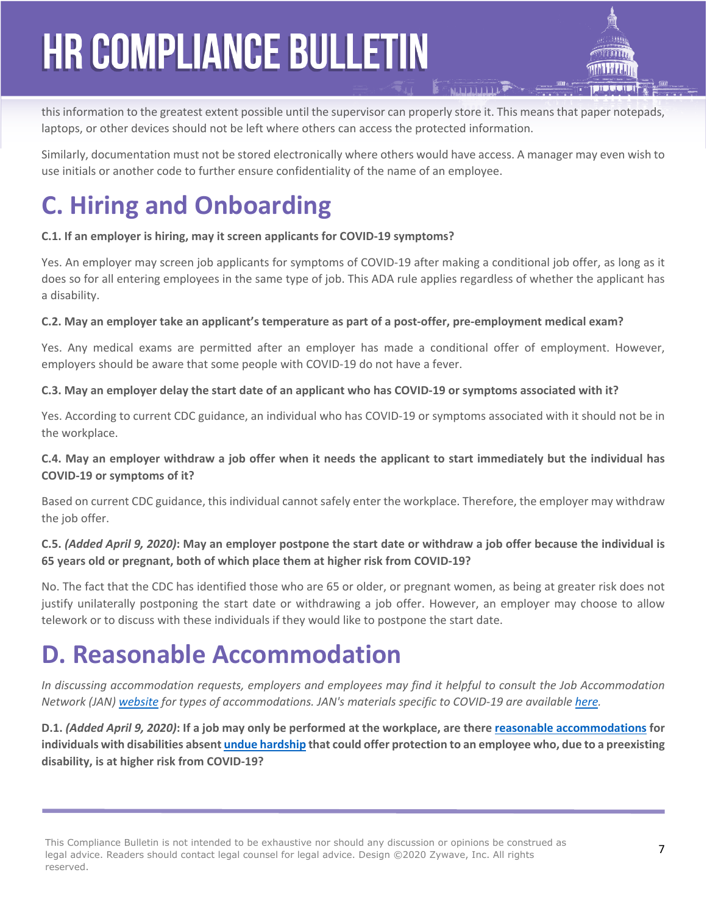this information to the greatest extent possible until the supervisor can properly store it. This means that paper notepads, laptops, or other devices should not be left where others can access the protected information.

Similarly, documentation must not be stored electronically where others would have access. A manager may even wish to use initials or another code to further ensure confidentiality of the name of an employee.

### **C. Hiring and Onboarding**

#### **C.1. If an employer is hiring, may it screen applicants for COVID-19 symptoms?**

Yes. An employer may screen job applicants for symptoms of COVID-19 after making a conditional job offer, as long as it does so for all entering employees in the same type of job. This ADA rule applies regardless of whether the applicant has a disability.

#### **C.2. May an employer take an applicant's temperature as part of a post-offer, pre-employment medical exam?**

Yes. Any medical exams are permitted after an employer has made a conditional offer of employment. However, employers should be aware that some people with COVID-19 do not have a fever.

#### **C.3. May an employer delay the start date of an applicant who has COVID-19 or symptoms associated with it?**

Yes. According to current CDC guidance, an individual who has COVID-19 or symptoms associated with it should not be in the workplace.

#### **C.4. May an employer withdraw a job offer when it needs the applicant to start immediately but the individual has COVID-19 or symptoms of it?**

Based on current CDC guidance, this individual cannot safely enter the workplace. Therefore, the employer may withdraw the job offer.

### **C.5.** *(Added April 9, 2020)***: May an employer postpone the start date or withdraw a job offer because the individual is 65 years old or pregnant, both of which place them at higher risk from COVID-19?**

No. The fact that the CDC has identified those who are 65 or older, or pregnant women, as being at greater risk does not justify unilaterally postponing the start date or withdrawing a job offer. However, an employer may choose to allow telework or to discuss with these individuals if they would like to postpone the start date.

### **D. Reasonable Accommodation**

*In discussing accommodation requests, employers and employees may find it helpful to consult the Job Accommodation Network (JAN) [website](http://www.askjan.org/) for types of accommodations. JAN's materials specific to COVID-19 are available [here](https://askjan.org/topics/COVID-19.cfm).*

**D.1.** *(Added April 9, 2020)***: If a job may only be performed at the workplace, are there [reasonable accommodations](https://www.eeoc.gov/policy/docs/accommodation.html#general) for individuals with disabilities absent [undue hardship](https://www.eeoc.gov/policy/docs/accommodation.html#undue) that could offer protection to an employee who, due to a preexisting disability, is at higher risk from COVID-19?** 

This Compliance Bulletin is not intended to be exhaustive nor should any discussion or opinions be construed as legal advice. Readers should contact legal counsel for legal advice. Design ©2020 Zywave, Inc. All rights reserved.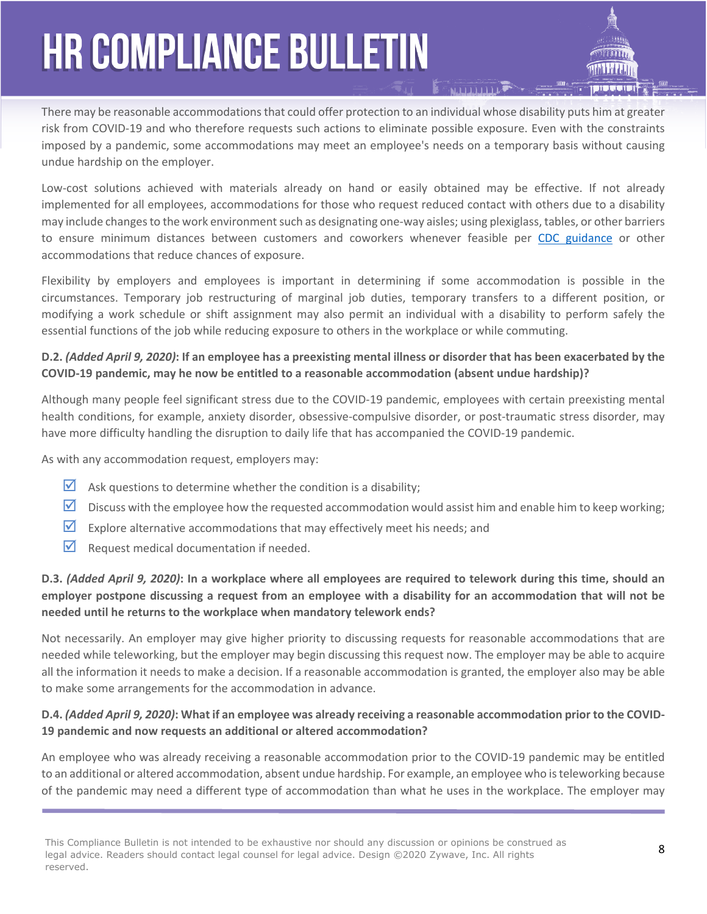There may be reasonable accommodations that could offer protection to an individual whose disability puts him at greater risk from COVID-19 and who therefore requests such actions to eliminate possible exposure. Even with the constraints imposed by a pandemic, some accommodations may meet an employee's needs on a temporary basis without causing undue hardship on the employer.

Low-cost solutions achieved with materials already on hand or easily obtained may be effective. If not already implemented for all employees, accommodations for those who request reduced contact with others due to a disability may include changes to the work environment such as designating one-way aisles; using plexiglass, tables, or other barriers to ensure minimum distances between customers and coworkers whenever feasible per [CDC guidance](https://www.cdc.gov/coronavirus/2019-ncov/community/index.html) or other accommodations that reduce chances of exposure.

Flexibility by employers and employees is important in determining if some accommodation is possible in the circumstances. Temporary job restructuring of marginal job duties, temporary transfers to a different position, or modifying a work schedule or shift assignment may also permit an individual with a disability to perform safely the essential functions of the job while reducing exposure to others in the workplace or while commuting.

### **D.2.** *(Added April 9, 2020)***: If an employee has a preexisting mental illness or disorder that has been exacerbated by the COVID-19 pandemic, may he now be entitled to a reasonable accommodation (absent undue hardship)?**

Although many people feel significant stress due to the COVID-19 pandemic, employees with certain preexisting mental health conditions, for example, anxiety disorder, obsessive-compulsive disorder, or post-traumatic stress disorder, may have more difficulty handling the disruption to daily life that has accompanied the COVID-19 pandemic.

As with any accommodation request, employers may:

- $\triangleright$  Ask questions to determine whether the condition is a disability;
- $\Box$  Discuss with the employee how the requested accommodation would assist him and enable him to keep working;
- $\overline{2}$  Explore alternative accommodations that may effectively meet his needs; and
- $\triangledown$  Request medical documentation if needed.

### **D.3.** *(Added April 9, 2020)***: In a workplace where all employees are required to telework during this time, should an employer postpone discussing a request from an employee with a disability for an accommodation that will not be needed until he returns to the workplace when mandatory telework ends?**

Not necessarily. An employer may give higher priority to discussing requests for reasonable accommodations that are needed while teleworking, but the employer may begin discussing this request now. The employer may be able to acquire all the information it needs to make a decision. If a reasonable accommodation is granted, the employer also may be able to make some arrangements for the accommodation in advance.

### **D.4.** *(Added April 9, 2020)***: What if an employee was already receiving a reasonable accommodation prior to the COVID-19 pandemic and now requests an additional or altered accommodation?**

An employee who was already receiving a reasonable accommodation prior to the COVID-19 pandemic may be entitled to an additional or altered accommodation, absent undue hardship. For example, an employee who is teleworking because of the pandemic may need a different type of accommodation than what he uses in the workplace. The employer may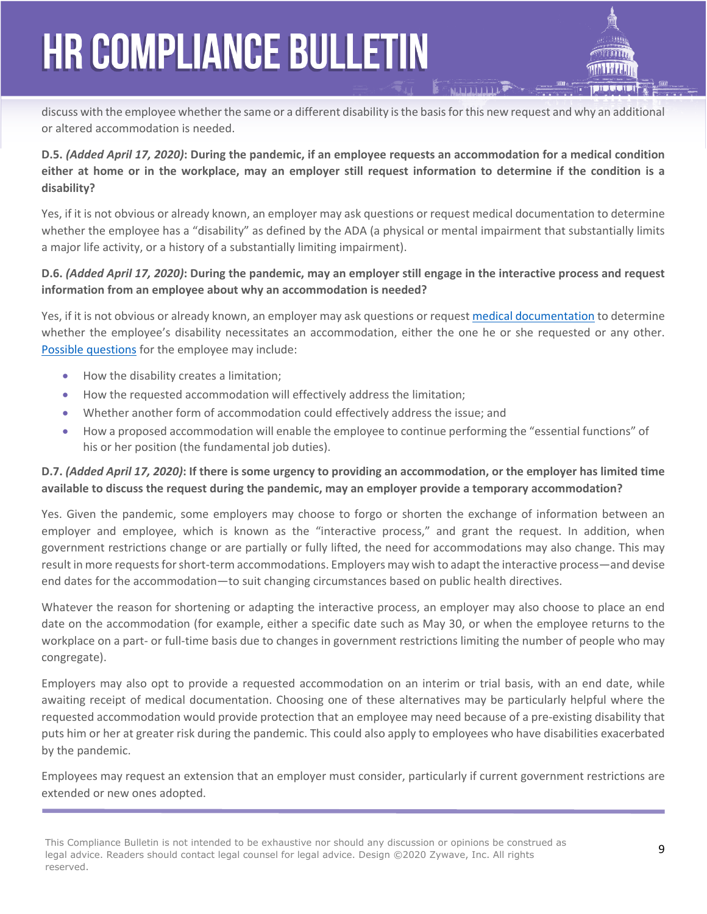discuss with the employee whether the same or a different disability is the basis for this new request and why an additional or altered accommodation is needed.

### **D.5.** *(Added April 17, 2020)***: During the pandemic, if an employee requests an accommodation for a medical condition either at home or in the workplace, may an employer still request information to determine if the condition is a disability?**

Yes, if it is not obvious or already known, an employer may ask questions or request medical documentation to determine whether the employee has a "disability" as defined by the ADA (a physical or mental impairment that substantially limits a major life activity, or a history of a substantially limiting impairment).

### **D.6.** *(Added April 17, 2020)***: During the pandemic, may an employer still engage in the interactive process and request information from an employee about why an accommodation is needed?**

Yes, if it is not obvious or already known, an employer may ask questions or request [medical documentation](https://www.eeoc.gov/coronavirus/webinar_transcript.cfm#q17) to determine whether the employee's disability necessitates an accommodation, either the one he or she requested or any other. [Possible questions](https://www.eeoc.gov/policy/docs/accommodation.html#requesting) for the employee may include:

- How the disability creates a limitation;
- How the requested accommodation will effectively address the limitation;
- Whether another form of accommodation could effectively address the issue; and
- How a proposed accommodation will enable the employee to continue performing the "essential functions" of his or her position (the fundamental job duties).

### **D.7.** *(Added April 17, 2020)***: If there is some urgency to providing an accommodation, or the employer has limited time available to discuss the request during the pandemic, may an employer provide a temporary accommodation?**

Yes. Given the pandemic, some employers may choose to forgo or shorten the exchange of information between an employer and employee, which is known as the "interactive process," and grant the request. In addition, when government restrictions change or are partially or fully lifted, the need for accommodations may also change. This may result in more requests for short-term accommodations. Employers may wish to adapt the interactive process—and devise end dates for the accommodation—to suit changing circumstances based on public health directives.

Whatever the reason for shortening or adapting the interactive process, an employer may also choose to place an end date on the accommodation (for example, either a specific date such as May 30, or when the employee returns to the workplace on a part- or full-time basis due to changes in government restrictions limiting the number of people who may congregate).

Employers may also opt to provide a requested accommodation on an interim or trial basis, with an end date, while awaiting receipt of medical documentation. Choosing one of these alternatives may be particularly helpful where the requested accommodation would provide protection that an employee may need because of a pre-existing disability that puts him or her at greater risk during the pandemic. This could also apply to employees who have disabilities exacerbated by the pandemic.

Employees may request an extension that an employer must consider, particularly if current government restrictions are extended or new ones adopted.

This Compliance Bulletin is not intended to be exhaustive nor should any discussion or opinions be construed as legal advice. Readers should contact legal counsel for legal advice. Design ©2020 Zywave, Inc. All rights reserved.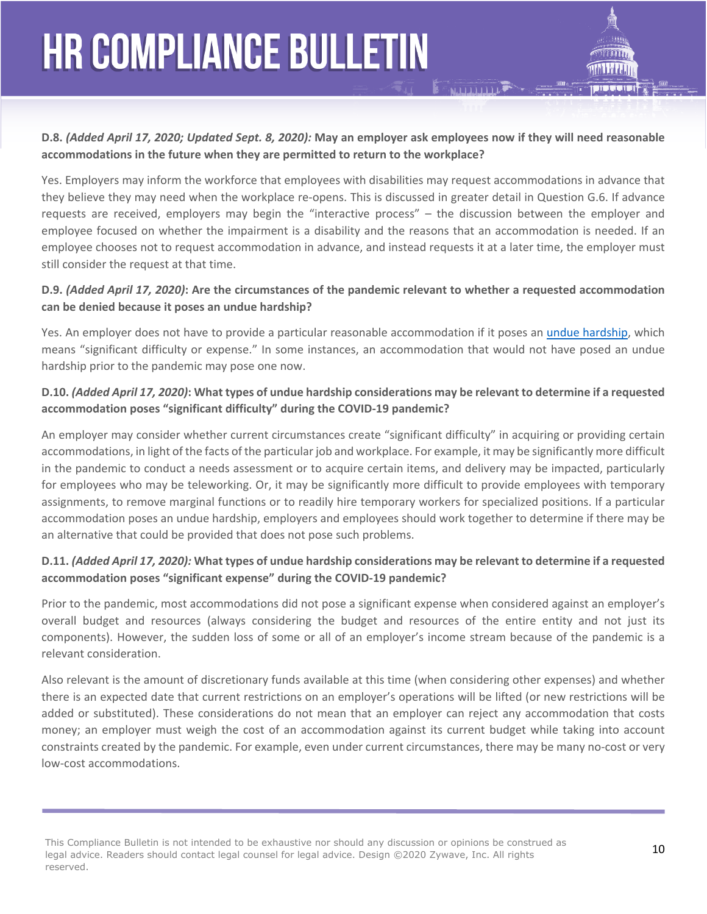

Yes. Employers may inform the workforce that employees with disabilities may request accommodations in advance that they believe they may need when the workplace re-opens. This is discussed in greater detail in Question G.6. If advance requests are received, employers may begin the "interactive process" – the discussion between the employer and employee focused on whether the impairment is a disability and the reasons that an accommodation is needed. If an employee chooses not to request accommodation in advance, and instead requests it at a later time, the employer must still consider the request at that time.

#### **D.9.** *(Added April 17, 2020)***: Are the circumstances of the pandemic relevant to whether a requested accommodation can be denied because it poses an undue hardship?**

Yes. An employer does not have to provide a particular reasonable accommodation if it poses an [undue hardship,](https://www.eeoc.gov/policy/docs/accommodation.html#undue) which means "significant difficulty or expense." In some instances, an accommodation that would not have posed an undue hardship prior to the pandemic may pose one now.

#### **D.10.** *(Added April 17, 2020)***: What types of undue hardship considerations may be relevant to determine if a requested accommodation poses "significant difficulty" during the COVID-19 pandemic?**

An employer may consider whether current circumstances create "significant difficulty" in acquiring or providing certain accommodations, in light of the facts of the particular job and workplace. For example, it may be significantly more difficult in the pandemic to conduct a needs assessment or to acquire certain items, and delivery may be impacted, particularly for employees who may be teleworking. Or, it may be significantly more difficult to provide employees with temporary assignments, to remove marginal functions or to readily hire temporary workers for specialized positions. If a particular accommodation poses an undue hardship, employers and employees should work together to determine if there may be an alternative that could be provided that does not pose such problems.

#### **D.11.** *(Added April 17, 2020):* **What types of undue hardship considerations may be relevant to determine if a requested accommodation poses "significant expense" during the COVID-19 pandemic?**

Prior to the pandemic, most accommodations did not pose a significant expense when considered against an employer's overall budget and resources (always considering the budget and resources of the entire entity and not just its components). However, the sudden loss of some or all of an employer's income stream because of the pandemic is a relevant consideration.

Also relevant is the amount of discretionary funds available at this time (when considering other expenses) and whether there is an expected date that current restrictions on an employer's operations will be lifted (or new restrictions will be added or substituted). These considerations do not mean that an employer can reject any accommodation that costs money; an employer must weigh the cost of an accommodation against its current budget while taking into account constraints created by the pandemic. For example, even under current circumstances, there may be many no-cost or very low-cost accommodations.

This Compliance Bulletin is not intended to be exhaustive nor should any discussion or opinions be construed as **10**<br>Lead advise. Readers should expect lead several for lead advise. Realize 2000 7s were the All with the **1** legal advice. Readers should contact legal counsel for legal advice. Design ©2020 Zywave, Inc. All rights reserved.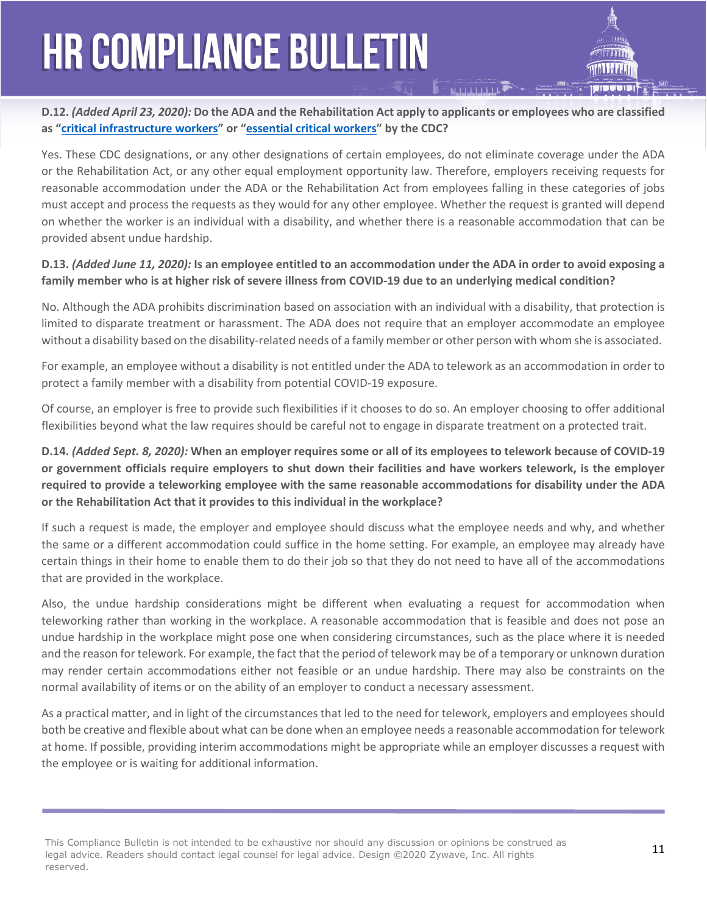### **D.12.** *(Added April 23, 2020):* **Do the ADA and the Rehabilitation Act apply to applicants or employees who are classified as ["critical infrastructure workers"](https://www.cdc.gov/coronavirus/2019-ncov/downloads/Essential-Critical-Workers_Dos-and-Donts.pdf) or ["essential critical workers](https://www.cdc.gov/coronavirus/2019-ncov/community/critical-workers/implementing-safety-practices.html)" by the CDC?**

Yes. These CDC designations, or any other designations of certain employees, do not eliminate coverage under the ADA or the Rehabilitation Act, or any other equal employment opportunity law. Therefore, employers receiving requests for reasonable accommodation under the ADA or the Rehabilitation Act from employees falling in these categories of jobs must accept and process the requests as they would for any other employee. Whether the request is granted will depend on whether the worker is an individual with a disability, and whether there is a reasonable accommodation that can be provided absent undue hardship.

#### **D.13.** *(Added June 11, 2020):* **Is an employee entitled to an accommodation under the ADA in order to avoid exposing a family member who is at higher risk of severe illness from COVID-19 due to an underlying medical condition?**

No. Although the ADA prohibits discrimination based on association with an individual with a disability, that protection is limited to disparate treatment or harassment. The ADA does not require that an employer accommodate an employee without a disability based on the disability-related needs of a family member or other person with whom she is associated.

For example, an employee without a disability is not entitled under the ADA to telework as an accommodation in order to protect a family member with a disability from potential COVID-19 exposure.

Of course, an employer is free to provide such flexibilities if it chooses to do so. An employer choosing to offer additional flexibilities beyond what the law requires should be careful not to engage in disparate treatment on a protected trait.

### **D.14.** *(Added Sept. 8, 2020):* **When an employer requires some or all of its employees to telework because of COVID-19 or government officials require employers to shut down their facilities and have workers telework, is the employer required to provide a teleworking employee with the same reasonable accommodations for disability under the ADA or the Rehabilitation Act that it provides to this individual in the workplace?**

If such a request is made, the employer and employee should discuss what the employee needs and why, and whether the same or a different accommodation could suffice in the home setting. For example, an employee may already have certain things in their home to enable them to do their job so that they do not need to have all of the accommodations that are provided in the workplace.

Also, the undue hardship considerations might be different when evaluating a request for accommodation when teleworking rather than working in the workplace. A reasonable accommodation that is feasible and does not pose an undue hardship in the workplace might pose one when considering circumstances, such as the place where it is needed and the reason for telework. For example, the fact that the period of telework may be of a temporary or unknown duration may render certain accommodations either not feasible or an undue hardship. There may also be constraints on the normal availability of items or on the ability of an employer to conduct a necessary assessment.

As a practical matter, and in light of the circumstances that led to the need for telework, employers and employees should both be creative and flexible about what can be done when an employee needs a reasonable accommodation for telework at home. If possible, providing interim accommodations might be appropriate while an employer discusses a request with the employee or is waiting for additional information.

This Compliance Bulletin is not intended to be exhaustive nor should any discussion or opinions be construed as **11** and the President Construction of the Construction of the Construction of the Construction of the Constru legal advice. Readers should contact legal counsel for legal advice. Design ©2020 Zywave, Inc. All rights reserved.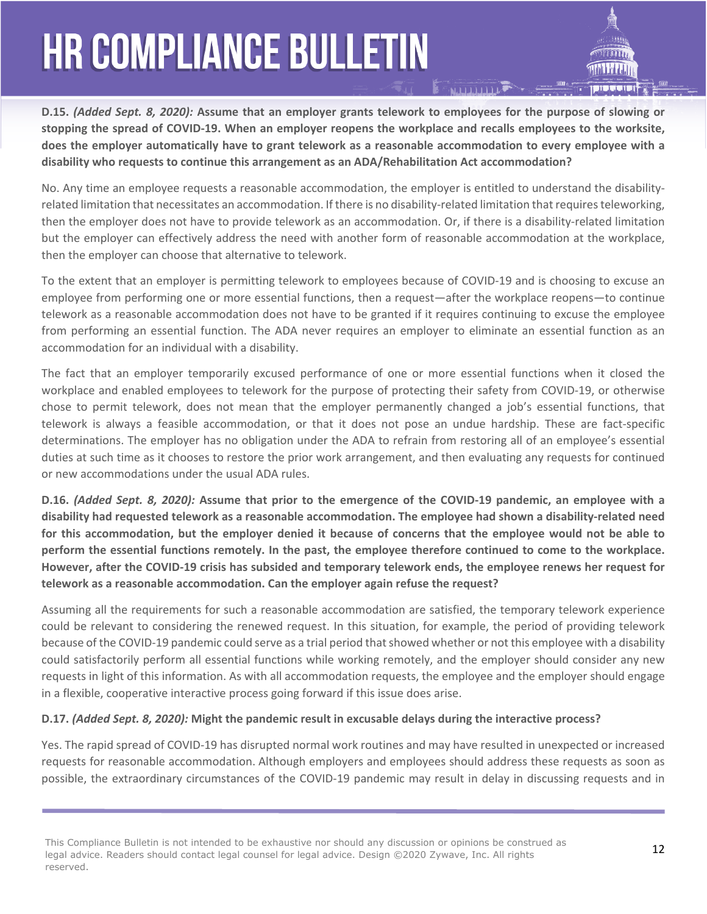**D.15.** *(Added Sept. 8, 2020):* **Assume that an employer grants telework to employees for the purpose of slowing or stopping the spread of COVID-19. When an employer reopens the workplace and recalls employees to the worksite, does the employer automatically have to grant telework as a reasonable accommodation to every employee with a disability who requests to continue this arrangement as an ADA/Rehabilitation Act accommodation?** 

No. Any time an employee requests a reasonable accommodation, the employer is entitled to understand the disabilityrelated limitation that necessitates an accommodation. If there is no disability-related limitation that requires teleworking, then the employer does not have to provide telework as an accommodation. Or, if there is a disability-related limitation but the employer can effectively address the need with another form of reasonable accommodation at the workplace, then the employer can choose that alternative to telework.

To the extent that an employer is permitting telework to employees because of COVID-19 and is choosing to excuse an employee from performing one or more essential functions, then a request—after the workplace reopens—to continue telework as a reasonable accommodation does not have to be granted if it requires continuing to excuse the employee from performing an essential function. The ADA never requires an employer to eliminate an essential function as an accommodation for an individual with a disability.

The fact that an employer temporarily excused performance of one or more essential functions when it closed the workplace and enabled employees to telework for the purpose of protecting their safety from COVID-19, or otherwise chose to permit telework, does not mean that the employer permanently changed a job's essential functions, that telework is always a feasible accommodation, or that it does not pose an undue hardship. These are fact-specific determinations. The employer has no obligation under the ADA to refrain from restoring all of an employee's essential duties at such time as it chooses to restore the prior work arrangement, and then evaluating any requests for continued or new accommodations under the usual ADA rules.

**D.16.** *(Added Sept. 8, 2020):* **Assume that prior to the emergence of the COVID-19 pandemic, an employee with a disability had requested telework as a reasonable accommodation. The employee had shown a disability-related need for this accommodation, but the employer denied it because of concerns that the employee would not be able to perform the essential functions remotely. In the past, the employee therefore continued to come to the workplace. However, after the COVID-19 crisis has subsided and temporary telework ends, the employee renews her request for telework as a reasonable accommodation. Can the employer again refuse the request?** 

Assuming all the requirements for such a reasonable accommodation are satisfied, the temporary telework experience could be relevant to considering the renewed request. In this situation, for example, the period of providing telework because of the COVID-19 pandemic could serve as a trial period that showed whether or not this employee with a disability could satisfactorily perform all essential functions while working remotely, and the employer should consider any new requests in light of this information. As with all accommodation requests, the employee and the employer should engage in a flexible, cooperative interactive process going forward if this issue does arise.

### **D.17.** *(Added Sept. 8, 2020):* **Might the pandemic result in excusable delays during the interactive process?**

Yes. The rapid spread of COVID-19 has disrupted normal work routines and may have resulted in unexpected or increased requests for reasonable accommodation. Although employers and employees should address these requests as soon as possible, the extraordinary circumstances of the COVID-19 pandemic may result in delay in discussing requests and in

This Compliance Bulletin is not intended to be exhaustive nor should any discussion or opinions be construed as **12**<br>Lead advise. Readers should expect lead several for lead advise. Realize 2000 7s were the All with the **1** legal advice. Readers should contact legal counsel for legal advice. Design ©2020 Zywave, Inc. All rights reserved.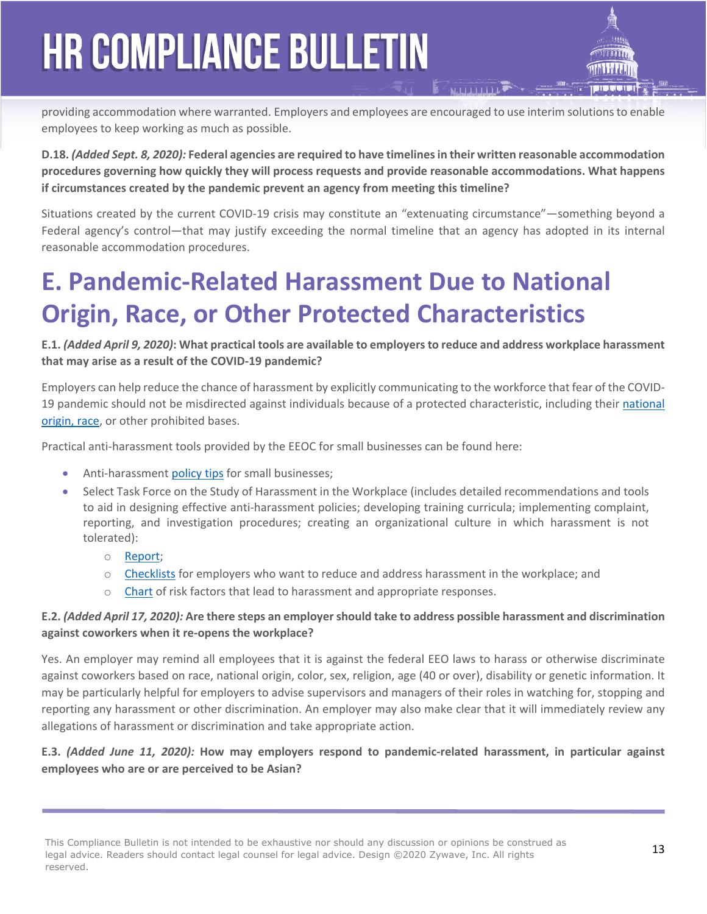providing accommodation where warranted. Employers and employees are encouraged to use interim solutions to enable employees to keep working as much as possible.

**D.18.** *(Added Sept. 8, 2020):* **Federal agencies are required to have timelines in their written reasonable accommodation procedures governing how quickly they will process requests and provide reasonable accommodations. What happens if circumstances created by the pandemic prevent an agency from meeting this timeline?** 

Situations created by the current COVID-19 crisis may constitute an "extenuating circumstance"—something beyond a Federal agency's control—that may justify exceeding the normal timeline that an agency has adopted in its internal reasonable accommodation procedures.

### **E. Pandemic-Related Harassment Due to National Origin, Race, or Other Protected Characteristics**

### **E.1.** *(Added April 9, 2020)***: What practical tools are available to employers to reduce and address workplace harassment that may arise as a result of the COVID-19 pandemic?**

Employers can help reduce the chance of harassment by explicitly communicating to the workforce that fear of the COVID-19 pandemic should not be misdirected against individuals because of a protected characteristic, including their [national](https://www.eeoc.gov/eeoc/newsroom/wysk/national_origin_race_discrimination_covid-19.cfm)  [origin, race](https://www.eeoc.gov/eeoc/newsroom/wysk/national_origin_race_discrimination_covid-19.cfm), or other prohibited bases.

Practical anti-harassment tools provided by the EEOC for small businesses can be found here:

- Anti-harassment [policy tips](https://www.eeoc.gov/employers/smallbusiness/checklists/harassment_policy_tips.cfm) for small businesses;
- Select Task Force on the Study of Harassment in the Workplace (includes detailed recommendations and tools to aid in designing effective anti-harassment policies; developing training curricula; implementing complaint, reporting, and investigation procedures; creating an organizational culture in which harassment is not tolerated):
	- o [Report;](https://www.eeoc.gov/eeoc/task_force/harassment/report.cfm#_Toc453686319)
	- o [Checklists](https://www.eeoc.gov/eeoc/task_force/harassment/report.cfm#_Toc453686319) for employers who want to reduce and address harassment in the workplace; and
	- o [Chart](https://www.eeoc.gov/eeoc/task_force/harassment/risk-factors.cfm) of risk factors that lead to harassment and appropriate responses.

### **E.2.** *(Added April 17, 2020):* **Are there steps an employer should take to address possible harassment and discrimination against coworkers when it re-opens the workplace?**

Yes. An employer may remind all employees that it is against the federal EEO laws to harass or otherwise discriminate against coworkers based on race, national origin, color, sex, religion, age (40 or over), disability or genetic information. It may be particularly helpful for employers to advise supervisors and managers of their roles in watching for, stopping and reporting any harassment or other discrimination. An employer may also make clear that it will immediately review any allegations of harassment or discrimination and take appropriate action.

### **E.3.** *(Added June 11, 2020):* **How may employers respond to pandemic-related harassment, in particular against employees who are or are perceived to be Asian?**

This Compliance Bulletin is not intended to be exhaustive nor should any discussion or opinions be construed as **13** legal advice. Readers should contact legal counsel for legal advice. Design ©2020 Zywave, Inc. All rights reserved.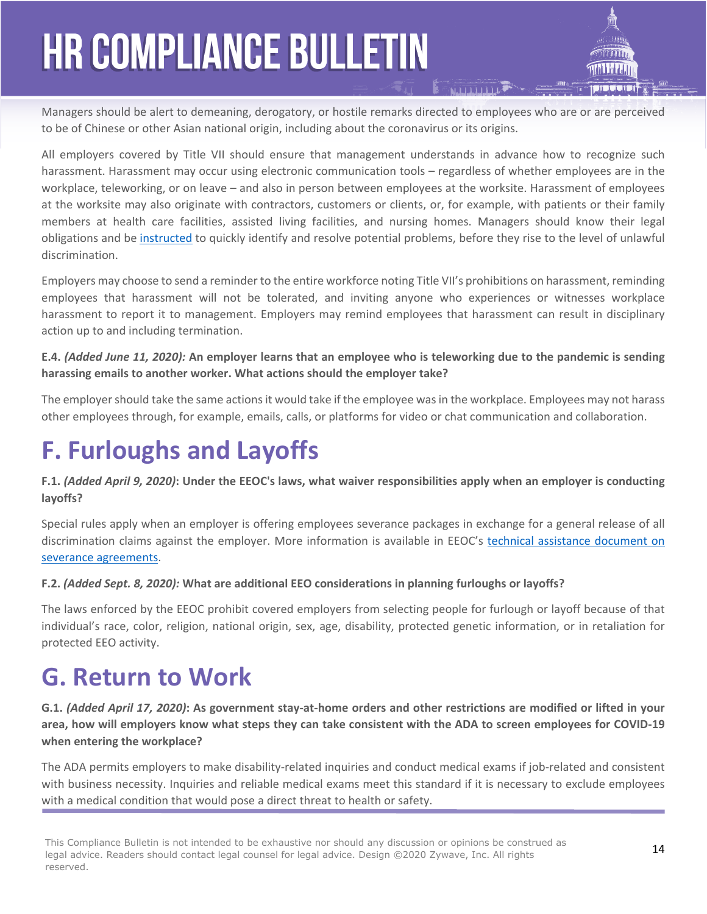Managers should be alert to demeaning, derogatory, or hostile remarks directed to employees who are or are perceived to be of Chinese or other Asian national origin, including about the coronavirus or its origins.

All employers covered by Title VII should ensure that management understands in advance how to recognize such harassment. Harassment may occur using electronic communication tools – regardless of whether employees are in the workplace, teleworking, or on leave – and also in person between employees at the worksite. Harassment of employees at the worksite may also originate with contractors, customers or clients, or, for example, with patients or their family members at health care facilities, assisted living facilities, and nursing homes. Managers should know their legal obligations and be [instructed](https://www.eeoc.gov/wysk/what-you-should-know-about-covid-19-and-ada-rehabilitation-act-and-other-eeo-laws?utm_content=&utm_medium=email&utm_name=&utm_source=govdelivery&utm_term=#E.2) to quickly identify and resolve potential problems, before they rise to the level of unlawful discrimination.

Employers may choose to send a reminder to the entire workforce noting Title VII's prohibitions on harassment, reminding employees that harassment will not be tolerated, and inviting anyone who experiences or witnesses workplace harassment to report it to management. Employers may remind employees that harassment can result in disciplinary action up to and including termination.

#### **E.4.** *(Added June 11, 2020):* **An employer learns that an employee who is teleworking due to the pandemic is sending harassing emails to another worker. What actions should the employer take?**

The employer should take the same actions it would take if the employee was in the workplace. Employees may not harass other employees through, for example, emails, calls, or platforms for video or chat communication and collaboration.

### **F. Furloughs and Layoffs**

#### **F.1.** *(Added April 9, 2020)***: Under the EEOC's laws, what waiver responsibilities apply when an employer is conducting layoffs?**

Special rules apply when an employer is offering employees severance packages in exchange for a general release of all discrimination claims against the employer. More information is available in EEOC's [technical assistance document on](https://www.eeoc.gov/policy/docs/qanda_severance-agreements.html)  [severance agreements.](https://www.eeoc.gov/policy/docs/qanda_severance-agreements.html)

### **F.2.** *(Added Sept. 8, 2020):* **What are additional EEO considerations in planning furloughs or layoffs?**

The laws enforced by the EEOC prohibit covered employers from selecting people for furlough or layoff because of that individual's race, color, religion, national origin, sex, age, disability, protected genetic information, or in retaliation for protected EEO activity.

### **G. Return to Work**

**G.1.** *(Added April 17, 2020)***: As government stay-at-home orders and other restrictions are modified or lifted in your area, how will employers know what steps they can take consistent with the ADA to screen employees for COVID-19 when entering the workplace?** 

The ADA permits employers to make disability-related inquiries and conduct medical exams if job-related and consistent with business necessity. Inquiries and reliable medical exams meet this standard if it is necessary to exclude employees with a medical condition that would pose a direct threat to health or safety.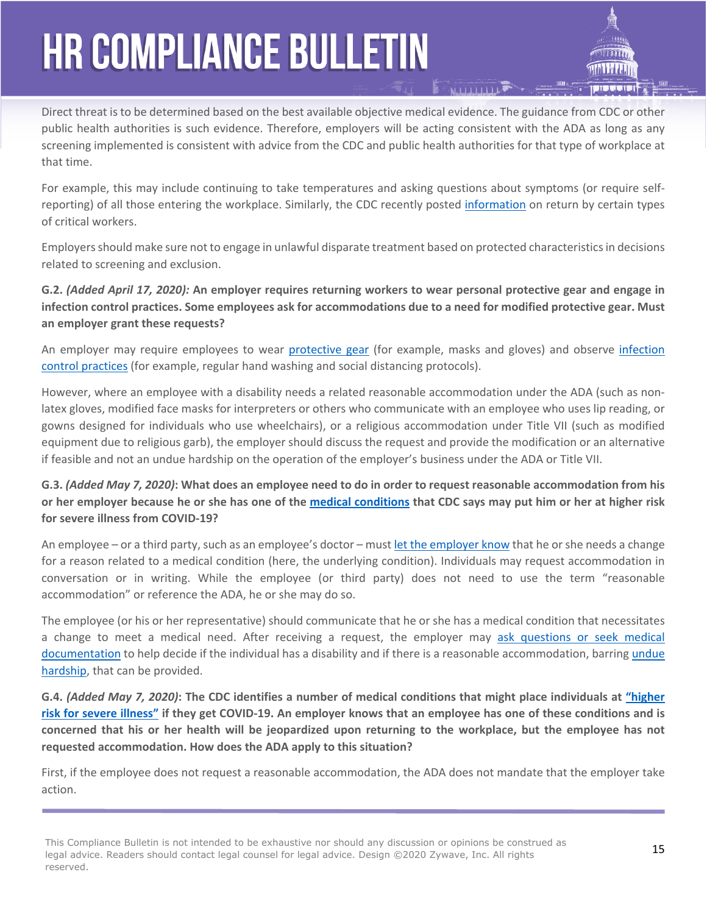Direct threat is to be determined based on the best available objective medical evidence. The guidance from CDC or other public health authorities is such evidence. Therefore, employers will be acting consistent with the ADA as long as any screening implemented is consistent with advice from the CDC and public health authorities for that type of workplace at that time.

For example, this may include continuing to take temperatures and asking questions about symptoms (or require selfreporting) of all those entering the workplace. Similarly, the CDC recently posted [information](https://www.cdc.gov/coronavirus/2019-ncov/community/critical-workers/implementing-safety-practices.html) on return by certain types of critical workers.

Employers should make sure not to engage in unlawful disparate treatment based on protected characteristics in decisions related to screening and exclusion.

### **G.2.** *(Added April 17, 2020):* **An employer requires returning workers to wear personal protective gear and engage in infection control practices. Some employees ask for accommodations due to a need for modified protective gear. Must an employer grant these requests?**

An employer may require employees to wear [protective gear](https://www.eeoc.gov/facts/pandemic_flu.html#q12) (for example, masks and gloves) and observe [infection](https://www.eeoc.gov/facts/pandemic_flu.html#q11)  [control practices](https://www.eeoc.gov/facts/pandemic_flu.html#q11) (for example, regular hand washing and social distancing protocols).

However, where an employee with a disability needs a related reasonable accommodation under the ADA (such as nonlatex gloves, modified face masks for interpreters or others who communicate with an employee who uses lip reading, or gowns designed for individuals who use wheelchairs), or a religious accommodation under Title VII (such as modified equipment due to religious garb), the employer should discuss the request and provide the modification or an alternative if feasible and not an undue hardship on the operation of the employer's business under the ADA or Title VII.

**G.3.** *(Added May 7, 2020)***: What does an employee need to do in order to request reasonable accommodation from his or her employer because he or she has one of the [medical conditions](https://www.cdc.gov/coronavirus/2019-ncov/need-extra-precautions/people-at-higher-risk.html) that CDC says may put him or her at higher risk for severe illness from COVID-19?**

An employee – or a third party, such as an employee's doctor – must [let the employer know](https://www.eeoc.gov/laws/guidance/enforcement-guidance-reasonable-accommodation-and-undue-hardship-under-ada#requesting) that he or she needs a change for a reason related to a medical condition (here, the underlying condition). Individuals may request accommodation in conversation or in writing. While the employee (or third party) does not need to use the term "reasonable accommodation" or reference the ADA, he or she may do so.

The employee (or his or her representative) should communicate that he or she has a medical condition that necessitates a change to meet a medical need. After receiving a request, the employer may [ask questions or seek medical](https://www.eeoc.gov/wysk/what-you-should-know-about-covid-19-and-ada-rehabilitation-act-and-other-eeo-laws?utm_content=&utm_medium=email&utm_name=&utm_source=govdelivery&utm_term=#D.6)  [documentation](https://www.eeoc.gov/wysk/what-you-should-know-about-covid-19-and-ada-rehabilitation-act-and-other-eeo-laws?utm_content=&utm_medium=email&utm_name=&utm_source=govdelivery&utm_term=#D.6) to help decide if the individual has a disability and if there is a reasonable accommodation, barring [undue](https://www.eeoc.gov/wysk/what-you-should-know-about-covid-19-and-ada-rehabilitation-act-and-other-eeo-laws?utm_content=&utm_medium=email&utm_name=&utm_source=govdelivery&utm_term=#D)  [hardship](https://www.eeoc.gov/wysk/what-you-should-know-about-covid-19-and-ada-rehabilitation-act-and-other-eeo-laws?utm_content=&utm_medium=email&utm_name=&utm_source=govdelivery&utm_term=#D), that can be provided.

**G.4.** *(Added May 7, 2020)***: The CDC identifies a number of medical conditions that might place individuals at ["higher](https://www.cdc.gov/coronavirus/2019-ncov/need-extra-precautions/people-at-higher-risk.html)  [risk for severe illness"](https://www.cdc.gov/coronavirus/2019-ncov/need-extra-precautions/people-at-higher-risk.html) if they get COVID-19. An employer knows that an employee has one of these conditions and is concerned that his or her health will be jeopardized upon returning to the workplace, but the employee has not requested accommodation. How does the ADA apply to this situation?**

First, if the employee does not request a reasonable accommodation, the ADA does not mandate that the employer take action.

This Compliance Bulletin is not intended to be exhaustive nor should any discussion or opinions be construed as **15**<br>Lead advise. Readers should expect lead several for lead advise. Realize 2000 7every Tre All with a legal advice. Readers should contact legal counsel for legal advice. Design ©2020 Zywave, Inc. All rights reserved.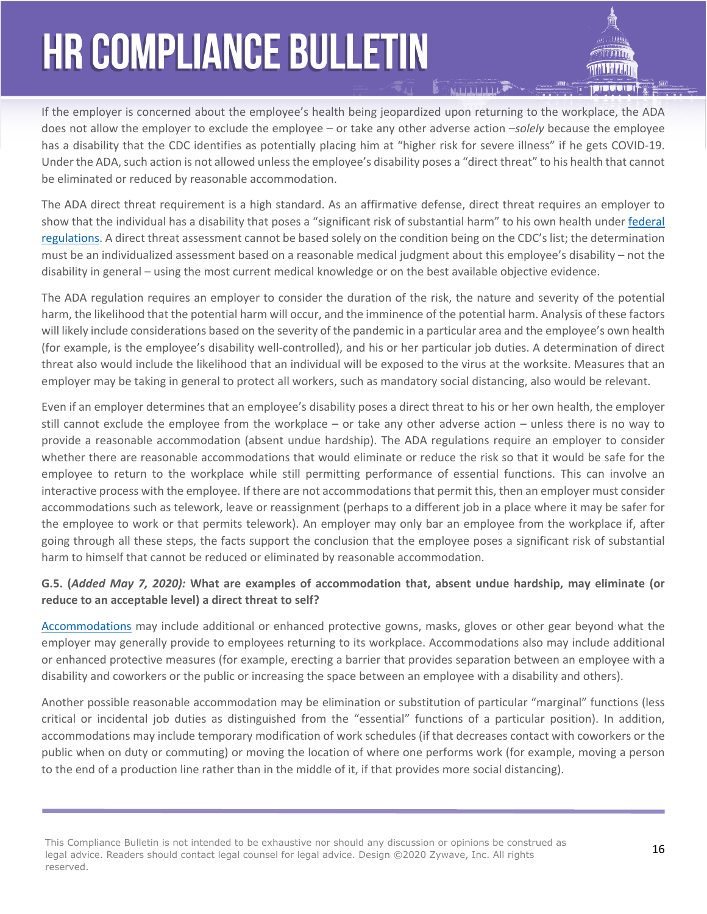If the employer is concerned about the employee's health being jeopardized upon returning to the workplace, the ADA does not allow the employer to exclude the employee – or take any other adverse action –*solely* because the employee has a disability that the CDC identifies as potentially placing him at "higher risk for severe illness" if he gets COVID-19. Under the ADA, such action is not allowed unless the employee's disability poses a "direct threat" to his health that cannot be eliminated or reduced by reasonable accommodation.

**MARITRALIA** 

The ADA direct threat requirement is a high standard. As an affirmative defense, direct threat requires an employer to show that the individual has a disability that poses a "significant risk of substantial harm" to his own health under [federal](https://www.ecfr.gov/cgi-bin/text-idx?SID=28cadc4b7b37847fd37f41f8574b5921&mc=true&node=pt29.4.1630&rgn=div5#se29.4.1630_12)  [regulations](https://www.ecfr.gov/cgi-bin/text-idx?SID=28cadc4b7b37847fd37f41f8574b5921&mc=true&node=pt29.4.1630&rgn=div5#se29.4.1630_12). A direct threat assessment cannot be based solely on the condition being on the CDC's list; the determination must be an individualized assessment based on a reasonable medical judgment about this employee's disability – not the disability in general – using the most current medical knowledge or on the best available objective evidence.

The ADA regulation requires an employer to consider the duration of the risk, the nature and severity of the potential harm, the likelihood that the potential harm will occur, and the imminence of the potential harm. Analysis of these factors will likely include considerations based on the severity of the pandemic in a particular area and the employee's own health (for example, is the employee's disability well-controlled), and his or her particular job duties. A determination of direct threat also would include the likelihood that an individual will be exposed to the virus at the worksite. Measures that an employer may be taking in general to protect all workers, such as mandatory social distancing, also would be relevant.

Even if an employer determines that an employee's disability poses a direct threat to his or her own health, the employer still cannot exclude the employee from the workplace – or take any other adverse action – unless there is no way to provide a reasonable accommodation (absent undue hardship). The ADA regulations require an employer to consider whether there are reasonable accommodations that would eliminate or reduce the risk so that it would be safe for the employee to return to the workplace while still permitting performance of essential functions. This can involve an interactive process with the employee. If there are not accommodations that permit this, then an employer must consider accommodations such as telework, leave or reassignment (perhaps to a different job in a place where it may be safer for the employee to work or that permits telework). An employer may only bar an employee from the workplace if, after going through all these steps, the facts support the conclusion that the employee poses a significant risk of substantial harm to himself that cannot be reduced or eliminated by reasonable accommodation.

#### **G.5. (***Added May 7, 2020):* **What are examples of accommodation that, absent undue hardship, may eliminate (or reduce to an acceptable level) a direct threat to self?**

[Accommodations](https://www.eeoc.gov/wysk/what-you-should-know-about-covid-19-and-ada-rehabilitation-act-and-other-eeo-laws?utm_content=&utm_medium=email&utm_name=&utm_source=govdelivery&utm_term=#D.1) may include additional or enhanced protective gowns, masks, gloves or other gear beyond what the employer may generally provide to employees returning to its workplace. Accommodations also may include additional or enhanced protective measures (for example, erecting a barrier that provides separation between an employee with a disability and coworkers or the public or increasing the space between an employee with a disability and others).

Another possible reasonable accommodation may be elimination or substitution of particular "marginal" functions (less critical or incidental job duties as distinguished from the "essential" functions of a particular position). In addition, accommodations may include temporary modification of work schedules (if that decreases contact with coworkers or the public when on duty or commuting) or moving the location of where one performs work (for example, moving a person to the end of a production line rather than in the middle of it, if that provides more social distancing).

This Compliance Bulletin is not intended to be exhaustive nor should any discussion or opinions be construed as **16**<br>Lead a this construction of the detailed acutes for lead at the construction of 2000 7 where the All with legal advice. Readers should contact legal counsel for legal advice. Design ©2020 Zywave, Inc. All rights reserved.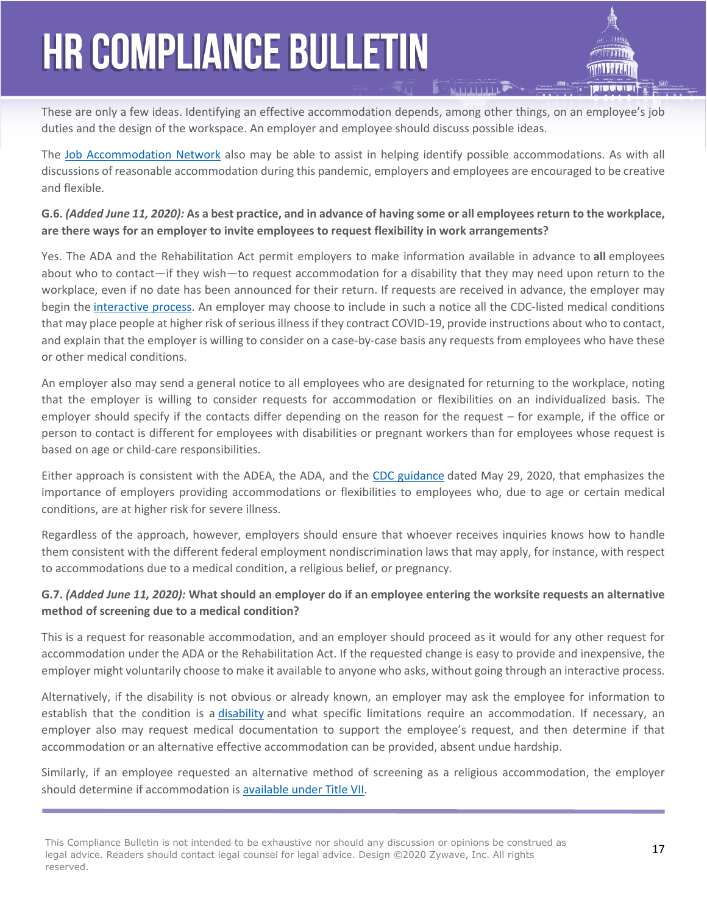These are only a few ideas. Identifying an effective accommodation depends, among other things, on an employee's job duties and the design of the workspace. An employer and employee should discuss possible ideas.

The [Job Accommodation Network](http://www.askjan.org/) also may be able to assist in helping identify possible accommodations. As with all discussions of reasonable accommodation during this pandemic, employers and employees are encouraged to be creative and flexible.

### **G.6.** *(Added June 11, 2020):* **As a best practice, and in advance of having some or all employees return to the workplace, are there ways for an employer to invite employees to request flexibility in work arrangements?**

Yes. The ADA and the Rehabilitation Act permit employers to make information available in advance to **all** employees about who to contact—if they wish—to request accommodation for a disability that they may need upon return to the workplace, even if no date has been announced for their return. If requests are received in advance, the employer may begin the [interactive process](https://www.eeoc.gov/wysk/what-you-should-know-about-covid-19-and-ada-rehabilitation-act-and-other-eeo-laws?utm_content=&utm_medium=email&utm_name=&utm_source=govdelivery&utm_term=#D.8). An employer may choose to include in such a notice all the CDC-listed medical conditions that may place people at higher risk of serious illness if they contract COVID-19, provide instructions about who to contact, and explain that the employer is willing to consider on a case-by-case basis any requests from employees who have these or other medical conditions.

An employer also may send a general notice to all employees who are designated for returning to the workplace, noting that the employer is willing to consider requests for accommodation or flexibilities on an individualized basis. The employer should specify if the contacts differ depending on the reason for the request – for example, if the office or person to contact is different for employees with disabilities or pregnant workers than for employees whose request is based on age or child-care responsibilities.

Either approach is consistent with the ADEA, the ADA, and the [CDC guidance](https://www.cdc.gov/coronavirus/2019-ncov/community/high-risk-workers.html?deliveryName=USCDC_2067-DM29601) dated May 29, 2020, that emphasizes the importance of employers providing accommodations or flexibilities to employees who, due to age or certain medical conditions, are at higher risk for severe illness.

Regardless of the approach, however, employers should ensure that whoever receives inquiries knows how to handle them consistent with the different federal employment nondiscrimination laws that may apply, for instance, with respect to accommodations due to a medical condition, a religious belief, or pregnancy.

#### **G.7.** *(Added June 11, 2020):* **What should an employer do if an employee entering the worksite requests an alternative method of screening due to a medical condition?**

This is a request for reasonable accommodation, and an employer should proceed as it would for any other request for accommodation under the ADA or the Rehabilitation Act. If the requested change is easy to provide and inexpensive, the employer might voluntarily choose to make it available to anyone who asks, without going through an interactive process.

Alternatively, if the disability is not obvious or already known, an employer may ask the employee for information to establish that the condition is a [disability](https://www.eeoc.gov/wysk/what-you-should-know-about-covid-19-and-ada-rehabilitation-act-and-other-eeo-laws?utm_content=&utm_medium=email&utm_name=&utm_source=govdelivery&utm_term=#D.5) and what specific limitations require an accommodation. If necessary, an employer also may request medical documentation to support the employee's request, and then determine if that accommodation or an alternative effective accommodation can be provided, absent undue hardship.

Similarly, if an employee requested an alternative method of screening as a religious accommodation, the employer should determine if accommodation is [available under Title VII.](https://www.eeoc.gov/laws/guidance/questions-and-answers-religious-discrimination-workplace)

This Compliance Bulletin is not intended to be exhaustive nor should any discussion or opinions be construed as **17**<br>Lead advise. Readers should expect lead several for lead advise. Realize 2000 7s were the All with the **1** legal advice. Readers should contact legal counsel for legal advice. Design ©2020 Zywave, Inc. All rights reserved.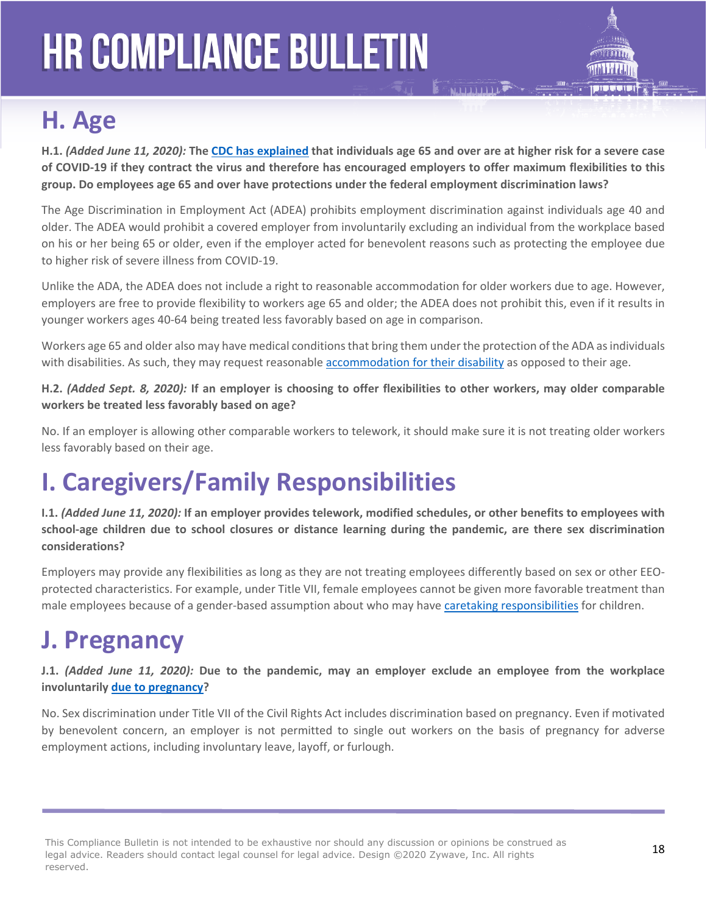

### **H. Age**

**H.1.** *(Added June 11, 2020):* **The [CDC has explained](https://www.cdc.gov/coronavirus/2019-ncov/need-extra-precautions/people-at-higher-risk.html) that individuals age 65 and over are at higher risk for a severe case of COVID-19 if they contract the virus and therefore has encouraged employers to offer maximum flexibilities to this group. Do employees age 65 and over have protections under the federal employment discrimination laws?**

The Age Discrimination in Employment Act (ADEA) prohibits employment discrimination against individuals age 40 and older. The ADEA would prohibit a covered employer from involuntarily excluding an individual from the workplace based on his or her being 65 or older, even if the employer acted for benevolent reasons such as protecting the employee due to higher risk of severe illness from COVID-19.

Unlike the ADA, the ADEA does not include a right to reasonable accommodation for older workers due to age. However, employers are free to provide flexibility to workers age 65 and older; the ADEA does not prohibit this, even if it results in younger workers ages 40-64 being treated less favorably based on age in comparison.

Workers age 65 and older also may have medical conditions that bring them under the protection of the ADA as individuals with disabilities. As such, they may request reasonable [accommodation for their disability](https://www.eeoc.gov/wysk/what-you-should-know-about-covid-19-and-ada-rehabilitation-act-and-other-eeo-laws?utm_content=&utm_medium=email&utm_name=&utm_source=govdelivery&utm_term=#D.1) as opposed to their age.

**H.2.** *(Added Sept. 8, 2020):* **If an employer is choosing to offer flexibilities to other workers, may older comparable workers be treated less favorably based on age?** 

No. If an employer is allowing other comparable workers to telework, it should make sure it is not treating older workers less favorably based on their age.

### **I. Caregivers/Family Responsibilities**

**I.1.** *(Added June 11, 2020):* **If an employer provides telework, modified schedules, or other benefits to employees with school-age children due to school closures or distance learning during the pandemic, are there sex discrimination considerations?**

Employers may provide any flexibilities as long as they are not treating employees differently based on sex or other EEOprotected characteristics. For example, under Title VII, female employees cannot be given more favorable treatment than male employees because of a gender-based assumption about who may have [caretaking responsibilities](https://www.eeoc.gov/laws/guidance/enforcement-guidance-unlawful-disparate-treatment-workers-caregiving-responsibilities) for children.

### **J. Pregnancy**

**J.1.** *(Added June 11, 2020):* **Due to the pandemic, may an employer exclude an employee from the workplace involuntarily [due to pregnancy](https://www.cdc.gov/coronavirus/2019-ncov/need-extra-precautions/pregnancy-breastfeeding.html)?**

No. Sex discrimination under Title VII of the Civil Rights Act includes discrimination based on pregnancy. Even if motivated by benevolent concern, an employer is not permitted to single out workers on the basis of pregnancy for adverse employment actions, including involuntary leave, layoff, or furlough.

This Compliance Bulletin is not intended to be exhaustive nor should any discussion or opinions be construed as **18**<br>Lead advise. Readers should expect lead several for lead advise. Realize 2000 7s were the All with the **1** legal advice. Readers should contact legal counsel for legal advice. Design ©2020 Zywave, Inc. All rights reserved.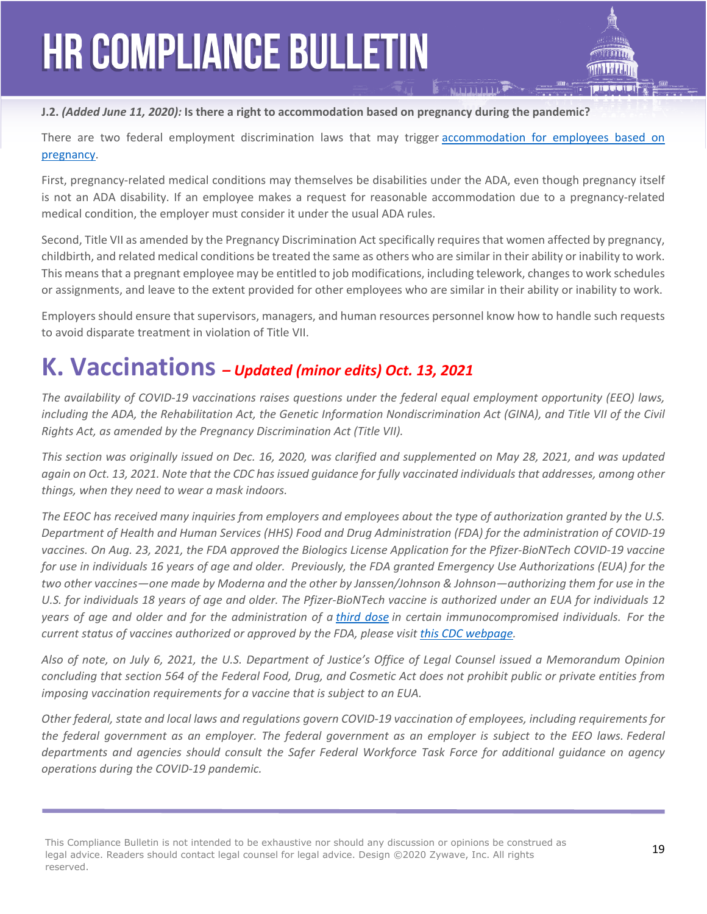

There are two federal employment discrimination laws that may trigger accommodation for employees based on [pregnancy.](https://www.eeoc.gov/laws/guidance/legal-rights-pregnant-workers-under-federal-law)

First, pregnancy-related medical conditions may themselves be disabilities under the ADA, even though pregnancy itself is not an ADA disability. If an employee makes a request for reasonable accommodation due to a pregnancy-related medical condition, the employer must consider it under the usual ADA rules.

Second, Title VII as amended by the Pregnancy Discrimination Act specifically requires that women affected by pregnancy, childbirth, and related medical conditions be treated the same as others who are similar in their ability or inability to work. This means that a pregnant employee may be entitled to job modifications, including telework, changes to work schedules or assignments, and leave to the extent provided for other employees who are similar in their ability or inability to work.

Employers should ensure that supervisors, managers, and human resources personnel know how to handle such requests to avoid disparate treatment in violation of Title VII.

### **K. Vaccinations** *– Updated (minor edits) Oct. 13, 2021*

*The availability of COVID-19 vaccinations raises questions under the federal equal employment opportunity (EEO) laws,*  including the ADA, the Rehabilitation Act, the Genetic Information Nondiscrimination Act (GINA), and Title VII of the Civil *Rights Act, as amended by the Pregnancy Discrimination Act (Title VII).* 

*This section was originally issued on Dec. 16, 2020, was clarified and supplemented on May 28, 2021, and was updated again on Oct. 13, 2021. Note that the CDC has issued guidance for fully vaccinated individuals that addresses, among other things, when they need to wear a mask indoors.* 

*The EEOC has received many inquiries from employers and employees about the type of authorization granted by the U.S. Department of Health and Human Services (HHS) Food and Drug Administration (FDA) for the administration of COVID-19 vaccines. On Aug. 23, 2021, the FDA approved the Biologics License Application for the Pfizer-BioNTech COVID-19 vaccine for use in individuals 16 years of age and older. Previously, the FDA granted Emergency Use Authorizations (EUA) for the two other vaccines—one made by Moderna and the other by Janssen/Johnson & Johnson—authorizing them for use in the U.S. for individuals 18 years of age and older. The Pfizer-BioNTech vaccine is authorized under an EUA for individuals 12 years of age and older and for the administration of a [third dose](https://www.cdc.gov/coronavirus/2019-ncov/vaccines/booster-shot.html) in certain immunocompromised individuals. For the current status of vaccines authorized or approved by the FDA, please visit [this CDC webpage](https://www.cdc.gov/vaccines/covid-19/clinical-considerations/covid-19-vaccines-us.html).* 

*Also of note, on July 6, 2021, the U.S. Department of Justice's Office of Legal Counsel issued a Memorandum Opinion concluding that section 564 of the Federal Food, Drug, and Cosmetic Act does not prohibit public or private entities from imposing vaccination requirements for a vaccine that is subject to an EUA.*

*Other federal, state and local laws and regulations govern COVID-19 vaccination of employees, including requirements for*  the federal government as an employer. The federal government as an employer is subject to the EEO laws. Federal *departments and agencies should consult the Safer Federal Workforce Task Force for additional guidance on agency operations during the COVID-19 pandemic.*

This Compliance Bulletin is not intended to be exhaustive nor should any discussion or opinions be construed as **19**<br>Lead advise. Readers should expect lead several for lead advise. Realize 2000 7s were the All with the **1** legal advice. Readers should contact legal counsel for legal advice. Design ©2020 Zywave, Inc. All rights reserved.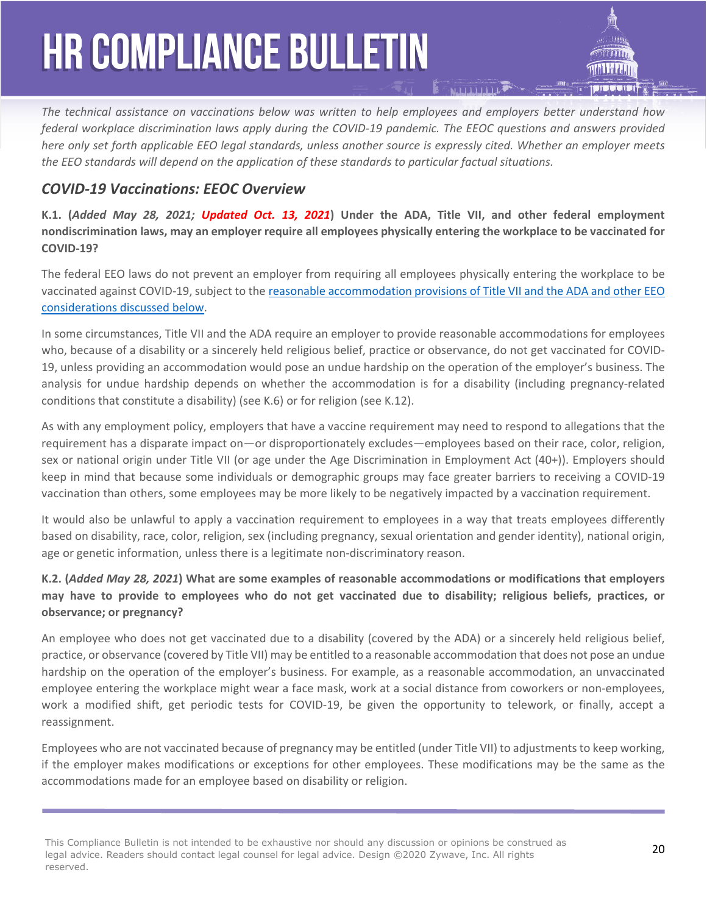*The technical assistance on vaccinations below was written to help employees and employers better understand how federal workplace discrimination laws apply during the COVID-19 pandemic. The EEOC questions and answers provided here only set forth applicable EEO legal standards, unless another source is expressly cited. Whether an employer meets the EEO standards will depend on the application of these standards to particular factual situations.*

### *COVID-19 Vaccinations: EEOC Overview*

**K.1. (***Added May 28, 2021; Updated Oct. 13, 2021***) Under the ADA, Title VII, and other federal employment nondiscrimination laws, may an employer require all employees physically entering the workplace to be vaccinated for COVID-19?** 

The federal EEO laws do not prevent an employer from requiring all employees physically entering the workplace to be vaccinated against COVID-19, subject to the [reasonable accommodation provisions of Title VII and the ADA and other EEO](https://www.eeoc.gov/wysk/what-you-should-know-about-covid-19-and-ada-rehabilitation-act-and-other-eeo-laws#K.5)  [considerations discussed below.](https://www.eeoc.gov/wysk/what-you-should-know-about-covid-19-and-ada-rehabilitation-act-and-other-eeo-laws#K.5)

In some circumstances, Title VII and the ADA require an employer to provide reasonable accommodations for employees who, because of a disability or a sincerely held religious belief, practice or observance, do not get vaccinated for COVID-19, unless providing an accommodation would pose an undue hardship on the operation of the employer's business. The analysis for undue hardship depends on whether the accommodation is for a disability (including pregnancy-related conditions that constitute a disability) (see K.6) or for religion (see K.12).

As with any employment policy, employers that have a vaccine requirement may need to respond to allegations that the requirement has a disparate impact on—or disproportionately excludes—employees based on their race, color, religion, sex or national origin under Title VII (or age under the Age Discrimination in Employment Act (40+)). Employers should keep in mind that because some individuals or demographic groups may face greater barriers to receiving a COVID-19 vaccination than others, some employees may be more likely to be negatively impacted by a vaccination requirement.

It would also be unlawful to apply a vaccination requirement to employees in a way that treats employees differently based on disability, race, color, religion, sex (including pregnancy, sexual orientation and gender identity), national origin, age or genetic information, unless there is a legitimate non-discriminatory reason.

### **K.2. (***Added May 28, 2021***) What are some examples of reasonable accommodations or modifications that employers may have to provide to employees who do not get vaccinated due to disability; religious beliefs, practices, or observance; or pregnancy?**

An employee who does not get vaccinated due to a disability (covered by the ADA) or a sincerely held religious belief, practice, or observance (covered by Title VII) may be entitled to a reasonable accommodation that does not pose an undue hardship on the operation of the employer's business. For example, as a reasonable accommodation, an unvaccinated employee entering the workplace might wear a face mask, work at a social distance from coworkers or non-employees, work a modified shift, get periodic tests for COVID-19, be given the opportunity to telework, or finally, accept a reassignment.

Employees who are not vaccinated because of pregnancy may be entitled (under Title VII) to adjustments to keep working, if the employer makes modifications or exceptions for other employees. These modifications may be the same as the accommodations made for an employee based on disability or religion.

<sup>20</sup> This Compliance Bulletin is not intended to be exhaustive nor should any discussion or opinions be construed as legal advice. Readers should contact legal counsel for legal advice. Design ©2020 Zywave, Inc. All rights reserved.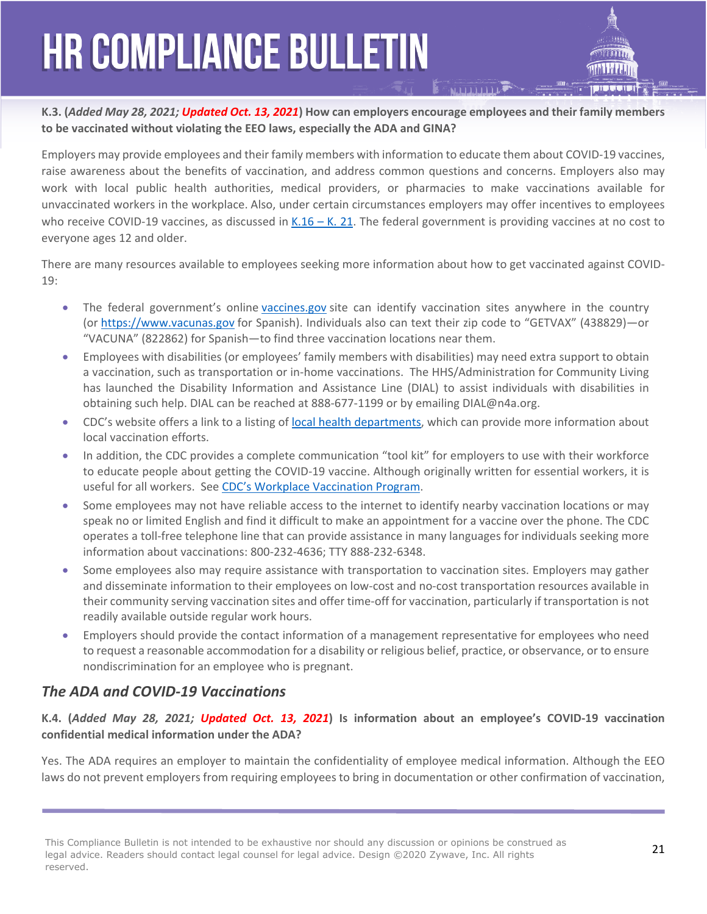**K.3. (***Added May 28, 2021; Updated Oct. 13, 2021***) How can employers encourage employees and their family members to be vaccinated without violating the EEO laws, especially the ADA and GINA?**

Employers may provide employees and their family members with information to educate them about COVID-19 vaccines, raise awareness about the benefits of vaccination, and address common questions and concerns. Employers also may work with local public health authorities, medical providers, or pharmacies to make vaccinations available for unvaccinated workers in the workplace. Also, under certain circumstances employers may offer incentives to employees who receive COVID-19 vaccines, as discussed in  $K.16 - K.21$ . The federal government is providing vaccines at no cost to everyone ages 12 and older.

There are many resources available to employees seeking more information about how to get vaccinated against COVID-19:

- The federal government's online [vaccines.gov](https://www.vaccines.gov/) site can identify vaccination sites anywhere in the country (or [https://www.vacunas.gov](https://www.vacunas.gov/) for Spanish). Individuals also can text their zip code to "GETVAX" (438829)—or "VACUNA" (822862) for Spanish—to find three vaccination locations near them.
- Employees with disabilities (or employees' family members with disabilities) may need extra support to obtain a vaccination, such as transportation or in-home vaccinations. The HHS/Administration for Community Living has launched the Disability Information and Assistance Line (DIAL) to assist individuals with disabilities in obtaining such help. DIAL can be reached at 888-677-1199 or by emailing [DIAL@n4a.org](mailto:DIAL@n4a.org).
- CDC's website offers a link to a listing of [local health departments,](https://www.cdc.gov/publichealthgateway/healthdirectories/index.html) which can provide more information about local vaccination efforts.
- In addition, the CDC provides a complete communication "tool kit" for employers to use with their workforce to educate people about getting the COVID-19 vaccine. Although originally written for essential workers, it is useful for all workers. See [CDC's Workplace Vaccination Program](https://www.cdc.gov/coronavirus/2019-ncov/vaccines/toolkits/essential-workers.html#anchor_1612717640568).
- Some employees may not have reliable access to the internet to identify nearby vaccination locations or may speak no or limited English and find it difficult to make an appointment for a vaccine over the phone. The CDC operates a toll-free telephone line that can provide assistance in many languages for individuals seeking more information about vaccinations: 800-232-4636; TTY 888-232-6348.
- Some employees also may require assistance with transportation to vaccination sites. Employers may gather and disseminate information to their employees on low-cost and no-cost transportation resources available in their community serving vaccination sites and offer time-off for vaccination, particularly if transportation is not readily available outside regular work hours.
- Employers should provide the contact information of a management representative for employees who need to request a reasonable accommodation for a disability or religious belief, practice, or observance, or to ensure nondiscrimination for an employee who is pregnant.

### *The ADA and COVID-19 Vaccinations*

### **K.4. (***Added May 28, 2021; Updated Oct. 13, 2021***) Is information about an employee's COVID-19 vaccination confidential medical information under the ADA?**

Yes. The ADA requires an employer to maintain the confidentiality of employee medical information. Although the EEO laws do not prevent employers from requiring employees to bring in documentation or other confirmation of vaccination,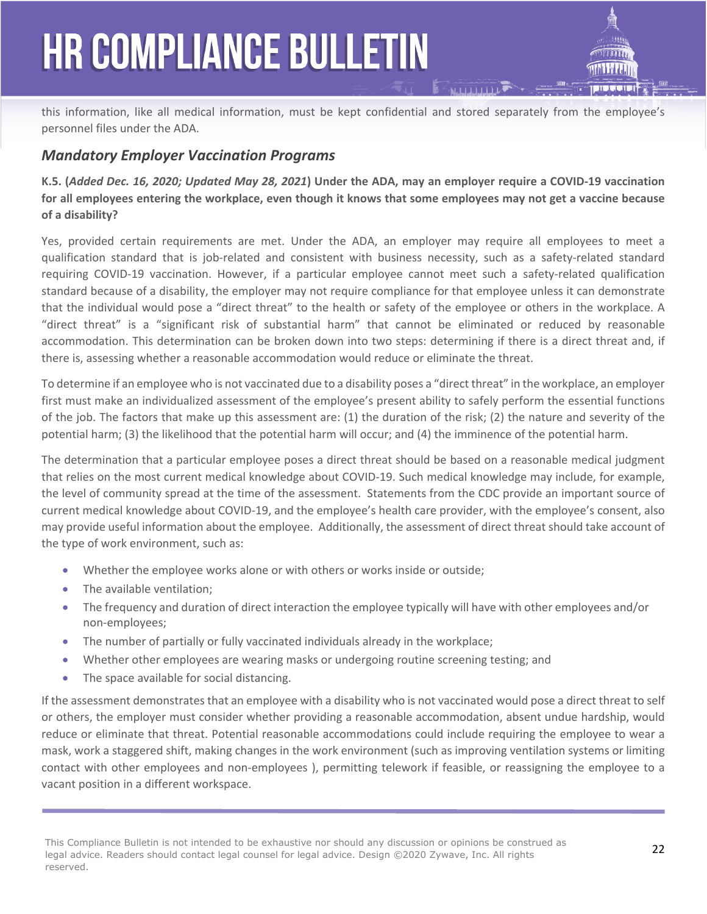this information, like all medical information, must be kept confidential and stored separately from the employee's personnel files under the ADA.

### *Mandatory Employer Vaccination Programs*

**K.5. (***Added Dec. 16, 2020; Updated May 28, 2021***) Under the ADA, may an employer require a COVID-19 vaccination for all employees entering the workplace, even though it knows that some employees may not get a vaccine because of a disability?** 

Yes, provided certain requirements are met. Under the ADA, an employer may require all employees to meet a qualification standard that is job-related and consistent with business necessity, such as a safety-related standard requiring COVID-19 vaccination. However, if a particular employee cannot meet such a safety-related qualification standard because of a disability, the employer may not require compliance for that employee unless it can demonstrate that the individual would pose a "direct threat" to the health or safety of the employee or others in the workplace. A "direct threat" is a "significant risk of substantial harm" that cannot be eliminated or reduced by reasonable accommodation. This determination can be broken down into two steps: determining if there is a direct threat and, if there is, assessing whether a reasonable accommodation would reduce or eliminate the threat.

To determine if an employee who is not vaccinated due to a disability poses a "direct threat" in the workplace, an employer first must make an individualized assessment of the employee's present ability to safely perform the essential functions of the job. The factors that make up this assessment are: (1) the duration of the risk; (2) the nature and severity of the potential harm; (3) the likelihood that the potential harm will occur; and (4) the imminence of the potential harm.

The determination that a particular employee poses a direct threat should be based on a reasonable medical judgment that relies on the most current medical knowledge about COVID-19. Such medical knowledge may include, for example, the level of community spread at the time of the assessment. Statements from the CDC provide an important source of current medical knowledge about COVID-19, and the employee's health care provider, with the employee's consent, also may provide useful information about the employee. Additionally, the assessment of direct threat should take account of the type of work environment, such as:

- Whether the employee works alone or with others or works inside or outside;
- The available ventilation:
- The frequency and duration of direct interaction the employee typically will have with other employees and/or non-employees;
- The number of partially or fully vaccinated individuals already in the workplace;
- Whether other employees are wearing masks or undergoing routine screening testing; and
- The space available for social distancing.

If the assessment demonstrates that an employee with a disability who is not vaccinated would pose a direct threat to self or others, the employer must consider whether providing a reasonable accommodation, absent undue hardship, would reduce or eliminate that threat. Potential reasonable accommodations could include requiring the employee to wear a mask, work a staggered shift, making changes in the work environment (such as improving ventilation systems or limiting contact with other employees and non-employees ), permitting telework if feasible, or reassigning the employee to a vacant position in a different workspace.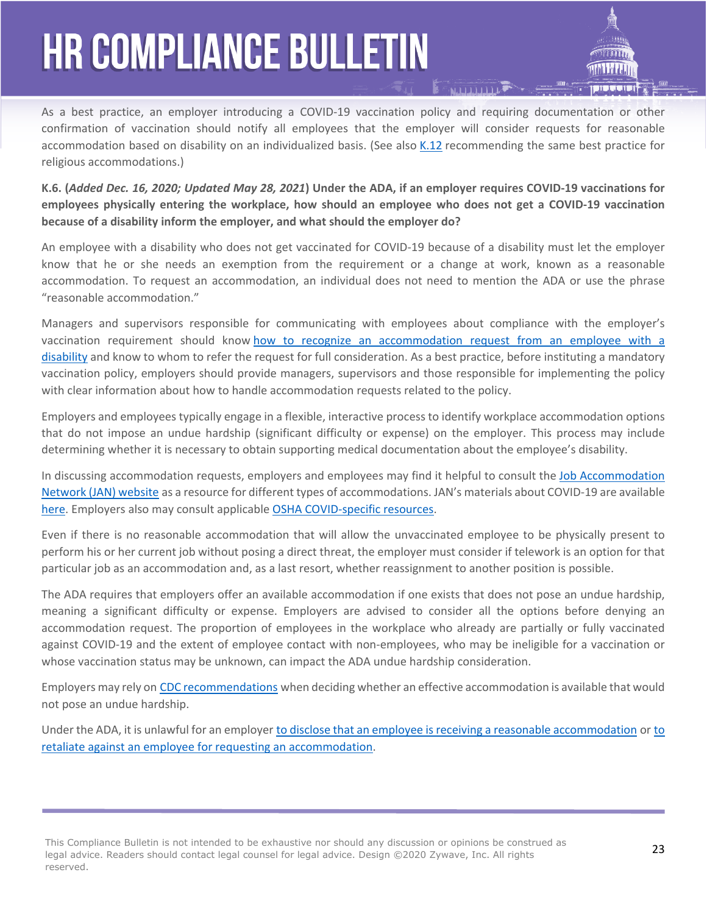As a best practice, an employer introducing a COVID-19 vaccination policy and requiring documentation or other confirmation of vaccination should notify all employees that the employer will consider requests for reasonable accommodation based on disability on an individualized basis. (See also [K.12](https://www.eeoc.gov/wysk/what-you-should-know-about-covid-19-and-ada-rehabilitation-act-and-other-eeo-laws#K.12) recommending the same best practice for religious accommodations.)

**K.6. (***Added Dec. 16, 2020; Updated May 28, 2021***) Under the ADA, if an employer requires COVID-19 vaccinations for employees physically entering the workplace, how should an employee who does not get a COVID-19 vaccination because of a disability inform the employer, and what should the employer do?**

An employee with a disability who does not get vaccinated for COVID-19 because of a disability must let the employer know that he or she needs an exemption from the requirement or a change at work, known as a reasonable accommodation. To request an accommodation, an individual does not need to mention the ADA or use the phrase "reasonable accommodation."

Managers and supervisors responsible for communicating with employees about compliance with the employer's vaccination requirement should know [how to recognize an accommodation request from an employee with a](https://www.eeoc.gov/laws/guidance/enforcement-guidance-reasonable-accommodation-and-undue-hardship-under-ada#requesting)  [disability](https://www.eeoc.gov/laws/guidance/enforcement-guidance-reasonable-accommodation-and-undue-hardship-under-ada#requesting) and know to whom to refer the request for full consideration. As a best practice, before instituting a mandatory vaccination policy, employers should provide managers, supervisors and those responsible for implementing the policy with clear information about how to handle accommodation requests related to the policy.

Employers and employees typically engage in a flexible, interactive process to identify workplace accommodation options that do not impose an undue hardship (significant difficulty or expense) on the employer. This process may include determining whether it is necessary to obtain supporting medical documentation about the employee's disability.

In discussing accommodation requests, employers and employees may find it helpful to consult the [Job Accommodation](https://www.askjan.org/)  [Network \(JAN\) website](https://www.askjan.org/) as a resource for different types of accommodations. JAN's materials about COVID-19 are available [here.](https://askjan.org/topics/COVID-19.cfm) Employers also may consult applicable [OSHA COVID-specific resources.](https://www.osha.gov/SLTC/covid-19/)

Even if there is no reasonable accommodation that will allow the unvaccinated employee to be physically present to perform his or her current job without posing a direct threat, the employer must consider if telework is an option for that particular job as an accommodation and, as a last resort, whether reassignment to another position is possible.

The ADA requires that employers offer an available accommodation if one exists that does not pose an undue hardship, meaning a significant difficulty or expense. Employers are advised to consider all the options before denying an accommodation request. The proportion of employees in the workplace who already are partially or fully vaccinated against COVID-19 and the extent of employee contact with non-employees, who may be ineligible for a vaccination or whose vaccination status may be unknown, can impact the ADA undue hardship consideration.

Employers may rely on [CDC recommendations](https://www.cdc.gov/coronavirus/2019-ncov/) when deciding whether an effective accommodation is available that would not pose an undue hardship.

Under the ADA, it is unlawful for an employer [to disclose that an employee is receiving a reasonable accommodation](https://www.eeoc.gov/laws/guidance/enforcement-guidance-reasonable-accommodation-and-undue-hardship-under-ada#li42) or [to](https://www.eeoc.gov/laws/guidance/enforcement-guidance-reasonable-accommodation-and-undue-hardship-under-ada#li19)  [retaliate against an employee for requesting an accommodation.](https://www.eeoc.gov/laws/guidance/enforcement-guidance-reasonable-accommodation-and-undue-hardship-under-ada#li19)

This Compliance Bulletin is not intended to be exhaustive nor should any discussion or opinions be construed as **23** The children product and the construction of the construction of the construction of the construction of legal advice. Readers should contact legal counsel for legal advice. Design ©2020 Zywave, Inc. All rights reserved.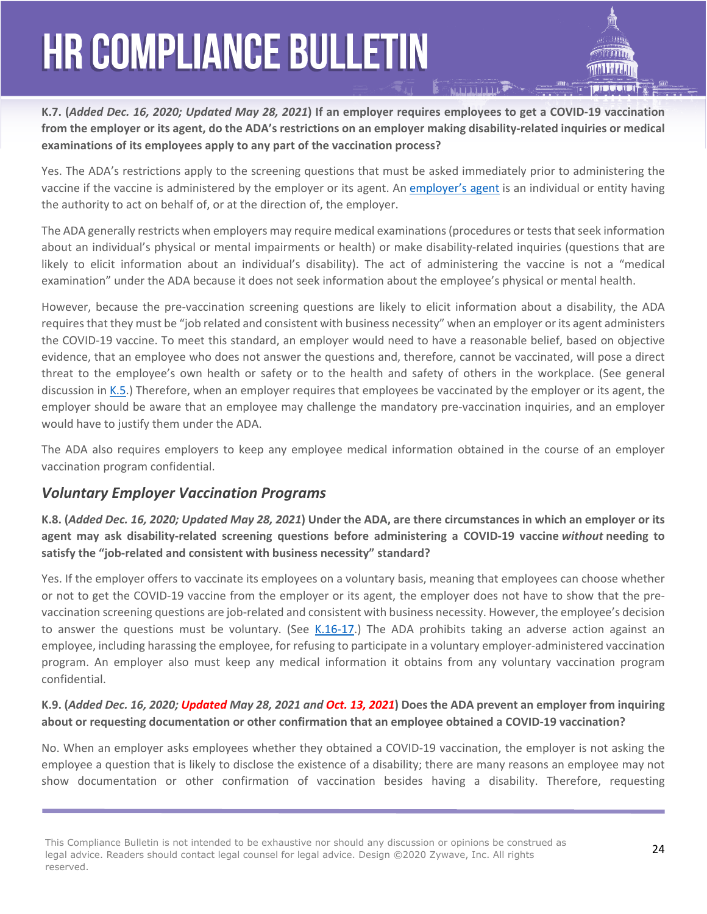

Yes. The ADA's restrictions apply to the screening questions that must be asked immediately prior to administering the vaccine if the vaccine is administered by the employer or its agent. An [employer's agent](https://www.eeoc.gov/laws/guidance/section-2-threshold-issues#2-III-B-2) is an individual or entity having the authority to act on behalf of, or at the direction of, the employer.

The ADA generally restricts when employers may require medical examinations (procedures or tests that seek information about an individual's physical or mental impairments or health) or make disability-related inquiries (questions that are likely to elicit information about an individual's disability). The act of administering the vaccine is not a "medical examination" under the ADA because it does not seek information about the employee's physical or mental health.

However, because the pre-vaccination screening questions are likely to elicit information about a disability, the ADA requires that they must be "job related and consistent with business necessity" when an employer or its agent administers the COVID-19 vaccine. To meet this standard, an employer would need to have a reasonable belief, based on objective evidence, that an employee who does not answer the questions and, therefore, cannot be vaccinated, will pose a direct threat to the employee's own health or safety or to the health and safety of others in the workplace. (See general discussion in [K.5](https://www.eeoc.gov/wysk/what-you-should-know-about-covid-19-and-ada-rehabilitation-act-and-other-eeo-laws#K.5).) Therefore, when an employer requires that employees be vaccinated by the employer or its agent, the employer should be aware that an employee may challenge the mandatory pre-vaccination inquiries, and an employer would have to justify them under the ADA.

The ADA also requires employers to keep any employee medical information obtained in the course of an employer vaccination program confidential.

### *Voluntary Employer Vaccination Programs*

**K.8. (***Added Dec. 16, 2020; Updated May 28, 2021***) Under the ADA, are there circumstances in which an employer or its agent may ask disability-related screening questions before administering a COVID-19 vaccine** *without* **needing to satisfy the "job-related and consistent with business necessity" standard?**

Yes. If the employer offers to vaccinate its employees on a voluntary basis, meaning that employees can choose whether or not to get the COVID-19 vaccine from the employer or its agent, the employer does not have to show that the prevaccination screening questions are job-related and consistent with business necessity. However, the employee's decision to answer the questions must be voluntary. (See [K.16-17.](https://www.eeoc.gov/wysk/what-you-should-know-about-covid-19-and-ada-rehabilitation-act-and-other-eeo-laws#K.16)) The ADA prohibits taking an adverse action against an employee, including harassing the employee, for refusing to participate in a voluntary employer-administered vaccination program. An employer also must keep any medical information it obtains from any voluntary vaccination program confidential.

### **K.9. (***Added Dec. 16, 2020; Updated May 28, 2021 and Oct. 13, 2021***) Does the ADA prevent an employer from inquiring about or requesting documentation or other confirmation that an employee obtained a COVID-19 vaccination?**

No. When an employer asks employees whether they obtained a COVID-19 vaccination, the employer is not asking the employee a question that is likely to disclose the existence of a disability; there are many reasons an employee may not show documentation or other confirmation of vaccination besides having a disability. Therefore, requesting

This Compliance Bulletin is not intended to be exhaustive nor should any discussion or opinions be construed as **24** The children product and the construction of the construction of the construction of the construction of legal advice. Readers should contact legal counsel for legal advice. Design ©2020 Zywave, Inc. All rights reserved.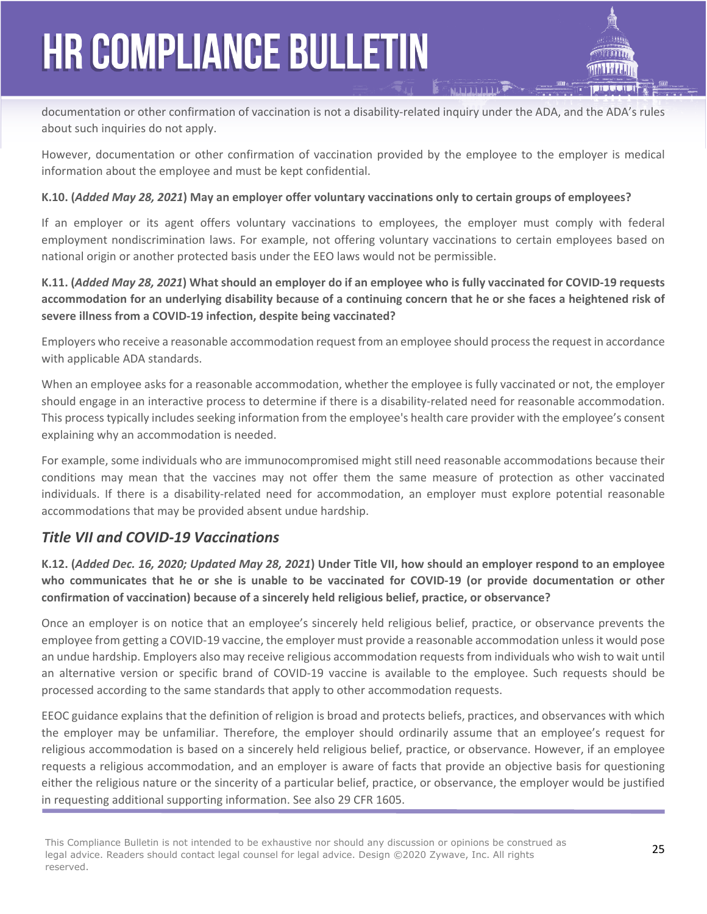documentation or other confirmation of vaccination is not a disability-related inquiry under the ADA, and the ADA's rules about such inquiries do not apply.

However, documentation or other confirmation of vaccination provided by the employee to the employer is medical information about the employee and must be kept confidential.

### **K.10. (***Added May 28, 2021***) May an employer offer voluntary vaccinations only to certain groups of employees?**

If an employer or its agent offers voluntary vaccinations to employees, the employer must comply with federal employment nondiscrimination laws. For example, not offering voluntary vaccinations to certain employees based on national origin or another protected basis under the EEO laws would not be permissible.

**K.11. (***Added May 28, 2021***) What should an employer do if an employee who is fully vaccinated for COVID-19 requests accommodation for an underlying disability because of a continuing concern that he or she faces a heightened risk of severe illness from a COVID-19 infection, despite being vaccinated?**

Employers who receive a reasonable accommodation request from an employee should process the request in accordance with applicable ADA standards.

When an employee asks for a reasonable accommodation, whether the employee is fully vaccinated or not, the employer should engage in an interactive process to determine if there is a disability-related need for reasonable accommodation. This process typically includes seeking information from the employee's health care provider with the employee's consent explaining why an accommodation is needed.

For example, some individuals who are immunocompromised might still need reasonable accommodations because their conditions may mean that the vaccines may not offer them the same measure of protection as other vaccinated individuals. If there is a disability-related need for accommodation, an employer must explore potential reasonable accommodations that may be provided absent undue hardship.

### *Title VII and COVID-19 Vaccinations*

**K.12. (***Added Dec. 16, 2020; Updated May 28, 2021***) Under Title VII, how should an employer respond to an employee who communicates that he or she is unable to be vaccinated for COVID-19 (or provide documentation or other confirmation of vaccination) because of a sincerely held religious belief, practice, or observance?**

Once an employer is on notice that an employee's sincerely held religious belief, practice, or observance prevents the employee from getting a COVID-19 vaccine, the employer must provide a reasonable accommodation unless it would pose an undue hardship. Employers also may receive religious accommodation requests from individuals who wish to wait until an alternative version or specific brand of COVID-19 vaccine is available to the employee. Such requests should be processed according to the same standards that apply to other accommodation requests.

EEOC guidance explains that the definition of religion is broad and protects beliefs, practices, and observances with which the employer may be unfamiliar. Therefore, the employer should ordinarily assume that an employee's request for religious accommodation is based on a sincerely held religious belief, practice, or observance. However, if an employee requests a religious accommodation, and an employer is aware of facts that provide an objective basis for questioning either the religious nature or the sincerity of a particular belief, practice, or observance, the employer would be justified in requesting additional supporting information. See also 29 CFR 1605.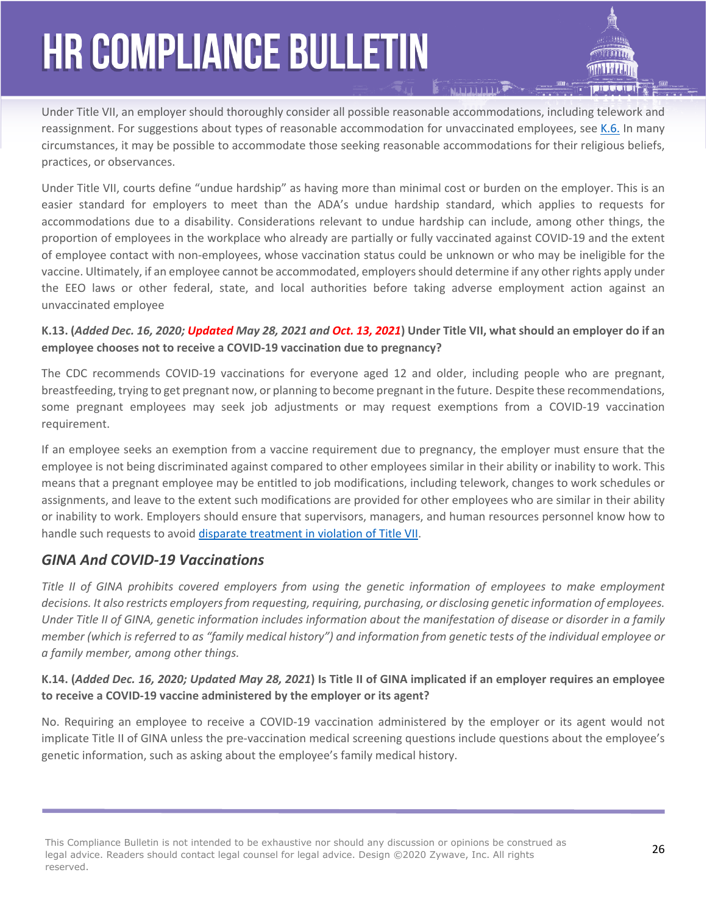Under Title VII, an employer should thoroughly consider all possible reasonable accommodations, including telework and reassignment. For suggestions about types of reasonable accommodation for unvaccinated employees, see [K.6.](https://www.eeoc.gov/wysk/what-you-should-know-about-covid-19-and-ada-rehabilitation-act-and-other-eeo-laws#K.6) In many circumstances, it may be possible to accommodate those seeking reasonable accommodations for their religious beliefs, practices, or observances.

Under Title VII, courts define "undue hardship" as having more than minimal cost or burden on the employer. This is an easier standard for employers to meet than the ADA's undue hardship standard, which applies to requests for accommodations due to a disability. Considerations relevant to undue hardship can include, among other things, the proportion of employees in the workplace who already are partially or fully vaccinated against COVID-19 and the extent of employee contact with non-employees, whose vaccination status could be unknown or who may be ineligible for the vaccine. Ultimately, if an employee cannot be accommodated, employers should determine if any other rights apply under the EEO laws or other federal, state, and local authorities before taking adverse employment action against an unvaccinated employee

#### **K.13. (***Added Dec. 16, 2020; Updated May 28, 2021 and Oct. 13, 2021***) Under Title VII, what should an employer do if an employee chooses not to receive a COVID-19 vaccination due to pregnancy?**

The CDC recommends COVID-19 vaccinations for everyone aged 12 and older, including people who are pregnant, breastfeeding, trying to get pregnant now, or planning to become pregnant in the future. Despite these recommendations, some pregnant employees may seek job adjustments or may request exemptions from a COVID-19 vaccination requirement.

If an employee seeks an exemption from a vaccine requirement due to pregnancy, the employer must ensure that the employee is not being discriminated against compared to other employees similar in their ability or inability to work. This means that a pregnant employee may be entitled to job modifications, including telework, changes to work schedules or assignments, and leave to the extent such modifications are provided for other employees who are similar in their ability or inability to work. Employers should ensure that supervisors, managers, and human resources personnel know how to handle such requests to avoid [disparate treatment in violation of Title VII](https://www.eeoc.gov/wysk/what-you-should-know-about-covid-19-and-ada-rehabilitation-act-and-other-eeo-laws#J.2).

### *GINA And COVID-19 Vaccinations*

*Title II of GINA prohibits covered employers from using the genetic information of employees to make employment decisions. It also restricts employers from requesting, requiring, purchasing, or disclosing genetic information of employees. Under Title II of GINA, genetic information includes information about the manifestation of disease or disorder in a family member (which is referred to as "family medical history") and information from genetic tests of the individual employee or a family member, among other things.* 

### **K.14. (***Added Dec. 16, 2020; Updated May 28, 2021***) Is Title II of GINA implicated if an employer requires an employee to receive a COVID-19 vaccine administered by the employer or its agent?**

No. Requiring an employee to receive a COVID-19 vaccination administered by the employer or its agent would not implicate Title II of GINA unless the pre-vaccination medical screening questions include questions about the employee's genetic information, such as asking about the employee's family medical history.

This Compliance Bulletin is not intended to be exhaustive nor should any discussion or opinions be construed as **26**<br>Lead advised Readers should arrived lead acureal for lead advised Reign @2020 7suress, Inc. All with the legal advice. Readers should contact legal counsel for legal advice. Design ©2020 Zywave, Inc. All rights reserved.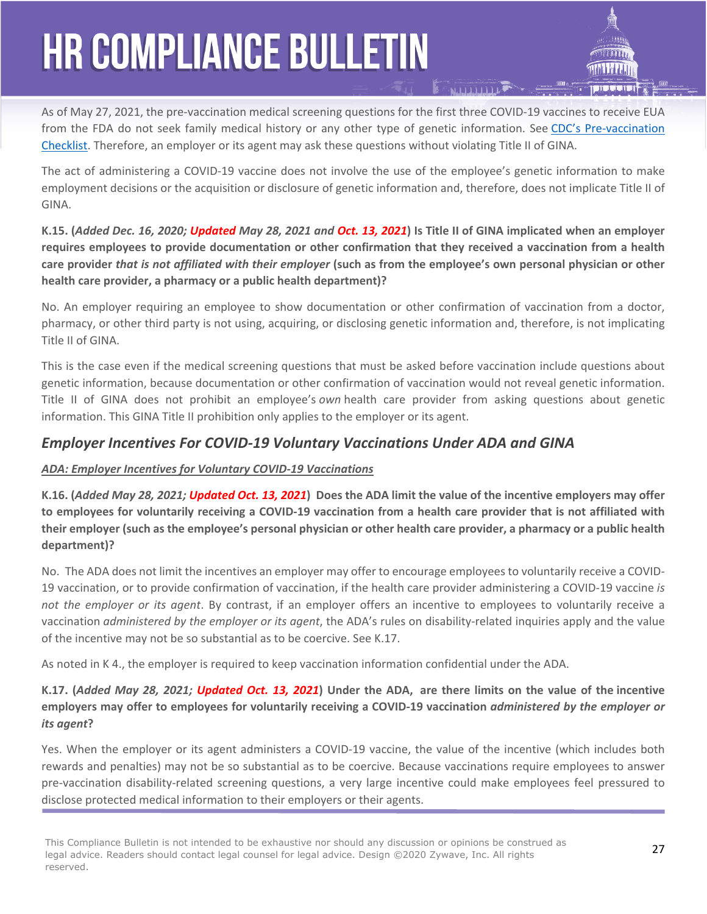As of May 27, 2021, the pre-vaccination medical screening questions for the first three COVID-19 vaccines to receive EUA from the FDA do not seek family medical history or any other type of genetic information. See [CDC's Pre-vaccination](https://www.cdc.gov/vaccines/covid-19/downloads/pre-vaccination-screening-form.pdf)  [Checklist.](https://www.cdc.gov/vaccines/covid-19/downloads/pre-vaccination-screening-form.pdf) Therefore, an employer or its agent may ask these questions without violating Title II of GINA.

The act of administering a COVID-19 vaccine does not involve the use of the employee's genetic information to make employment decisions or the acquisition or disclosure of genetic information and, therefore, does not implicate Title II of GINA.

**K.15. (***Added Dec. 16, 2020; Updated May 28, 2021 and Oct. 13, 2021***) Is Title II of GINA implicated when an employer requires employees to provide documentation or other confirmation that they received a vaccination from a health care provider** *that is not affiliated with their employer* **(such as from the employee's own personal physician or other health care provider, a pharmacy or a public health department)?**

No. An employer requiring an employee to show documentation or other confirmation of vaccination from a doctor, pharmacy, or other third party is not using, acquiring, or disclosing genetic information and, therefore, is not implicating Title II of GINA.

This is the case even if the medical screening questions that must be asked before vaccination include questions about genetic information, because documentation or other confirmation of vaccination would not reveal genetic information. Title II of GINA does not prohibit an employee's *own* health care provider from asking questions about genetic information. This GINA Title II prohibition only applies to the employer or its agent.

### *Employer Incentives For COVID-19 Voluntary Vaccinations Under ADA and GINA*

### *ADA: Employer Incentives for Voluntary COVID-19 Vaccinations*

**K.16. (***Added May 28, 2021; Updated Oct. 13, 2021***) Does the ADA limit the value of the incentive employers may offer to employees for voluntarily receiving a COVID-19 vaccination from a health care provider that is not affiliated with their employer (such as the employee's personal physician or other health care provider, a pharmacy or a public health department)?**

No. The ADA does not limit the incentives an employer may offer to encourage employees to voluntarily receive a COVID-19 vaccination, or to provide confirmation of vaccination, if the health care provider administering a COVID-19 vaccine *is not the employer or its agent*. By contrast, if an employer offers an incentive to employees to voluntarily receive a vaccination *administered by the employer or its agent*, the ADA's rules on disability-related inquiries apply and the value of the incentive may not be so substantial as to be coercive. See K.17.

As noted in K 4., the employer is required to keep vaccination information confidential under the ADA.

### **K.17. (***Added May 28, 2021; Updated Oct. 13, 2021***) Under the ADA, are there limits on the value of the incentive employers may offer to employees for voluntarily receiving a COVID-19 vaccination** *administered by the employer or its agent***?**

Yes. When the employer or its agent administers a COVID-19 vaccine, the value of the incentive (which includes both rewards and penalties) may not be so substantial as to be coercive. Because vaccinations require employees to answer pre-vaccination disability-related screening questions, a very large incentive could make employees feel pressured to disclose protected medical information to their employers or their agents.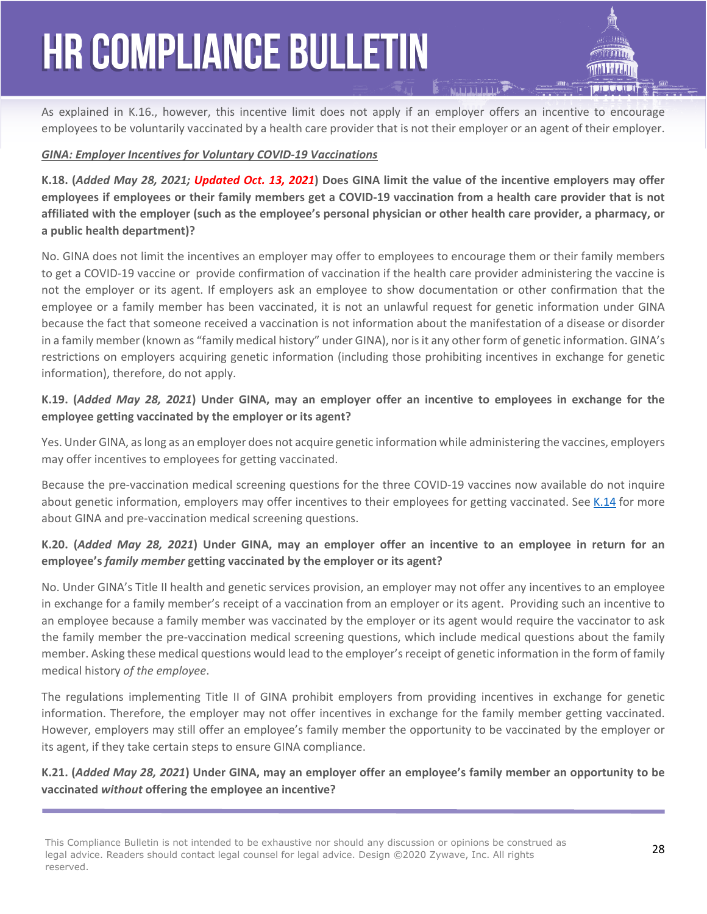As explained in K.16., however, this incentive limit does not apply if an employer offers an incentive to encourage employees to be voluntarily vaccinated by a health care provider that is not their employer or an agent of their employer.

#### *GINA: Employer Incentives for Voluntary COVID-19 Vaccinations*

**K.18. (***Added May 28, 2021; Updated Oct. 13, 2021***) Does GINA limit the value of the incentive employers may offer employees if employees or their family members get a COVID-19 vaccination from a health care provider that is not affiliated with the employer (such as the employee's personal physician or other health care provider, a pharmacy, or a public health department)?** 

No. GINA does not limit the incentives an employer may offer to employees to encourage them or their family members to get a COVID-19 vaccine or provide confirmation of vaccination if the health care provider administering the vaccine is not the employer or its agent. If employers ask an employee to show documentation or other confirmation that the employee or a family member has been vaccinated, it is not an unlawful request for genetic information under GINA because the fact that someone received a vaccination is not information about the manifestation of a disease or disorder in a family member (known as "family medical history" under GINA), nor is it any other form of genetic information. GINA's restrictions on employers acquiring genetic information (including those prohibiting incentives in exchange for genetic information), therefore, do not apply.

### **K.19. (***Added May 28, 2021***) Under GINA, may an employer offer an incentive to employees in exchange for the employee getting vaccinated by the employer or its agent?**

Yes. Under GINA, as long as an employer does not acquire genetic information while administering the vaccines, employers may offer incentives to employees for getting vaccinated.

Because the pre-vaccination medical screening questions for the three COVID-19 vaccines now available do not inquire about genetic information, employers may offer incentives to their employees for getting vaccinated. See [K.14](https://www.eeoc.gov/wysk/what-you-should-know-about-covid-19-and-ada-rehabilitation-act-and-other-eeo-laws#K.14) for more about GINA and pre-vaccination medical screening questions.

### **K.20. (***Added May 28, 2021***) Under GINA, may an employer offer an incentive to an employee in return for an employee's** *family member* **getting vaccinated by the employer or its agent?**

No. Under GINA's Title II health and genetic services provision, an employer may not offer any incentives to an employee in exchange for a family member's receipt of a vaccination from an employer or its agent. Providing such an incentive to an employee because a family member was vaccinated by the employer or its agent would require the vaccinator to ask the family member the pre-vaccination medical screening questions, which include medical questions about the family member. Asking these medical questions would lead to the employer's receipt of genetic information in the form of family medical history *of the employee*.

The regulations implementing Title II of GINA prohibit employers from providing incentives in exchange for genetic information. Therefore, the employer may not offer incentives in exchange for the family member getting vaccinated. However, employers may still offer an employee's family member the opportunity to be vaccinated by the employer or its agent, if they take certain steps to ensure GINA compliance.

### **K.21. (***Added May 28, 2021***) Under GINA, may an employer offer an employee's family member an opportunity to be vaccinated** *without* **offering the employee an incentive?**

28 This Compliance Bulletin is not intended to be exhaustive nor should any discussion or opinions be construed as legal advice. Readers should contact legal counsel for legal advice. Design ©2020 Zywave, Inc. All rights reserved.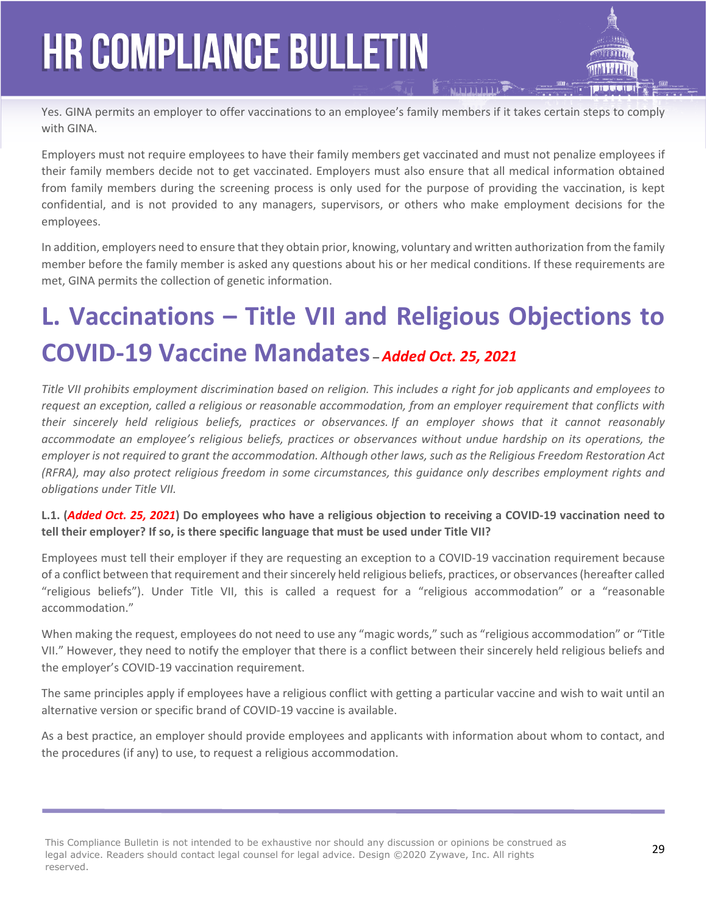Yes. GINA permits an employer to offer vaccinations to an employee's family members if it takes certain steps to comply with GINA.

Employers must not require employees to have their family members get vaccinated and must not penalize employees if their family members decide not to get vaccinated. Employers must also ensure that all medical information obtained from family members during the screening process is only used for the purpose of providing the vaccination, is kept confidential, and is not provided to any managers, supervisors, or others who make employment decisions for the employees.

In addition, employers need to ensure that they obtain prior, knowing, voluntary and written authorization from the family member before the family member is asked any questions about his or her medical conditions. If these requirements are met, GINA permits the collection of genetic information.

### **L. Vaccinations – Title VII and Religious Objections to COVID-19 Vaccine Mandates –** *Added Oct. 25, 2021*

*Title VII prohibits employment discrimination based on religion. This includes a right for job applicants and employees to request an exception, called a religious or reasonable accommodation, from an employer requirement that conflicts with their sincerely held religious beliefs, practices or observances. If an employer shows that it cannot reasonably accommodate an employee's religious beliefs, practices or observances without undue hardship on its operations, the employer is not required to grant the accommodation. Although other laws, such as the Religious Freedom Restoration Act (RFRA), may also protect religious freedom in some circumstances, this guidance only describes employment rights and obligations under Title VII.*

**L.1. (***Added Oct. 25, 2021***) Do employees who have a religious objection to receiving a COVID-19 vaccination need to tell their employer? If so, is there specific language that must be used under Title VII?** 

Employees must tell their employer if they are requesting an exception to a COVID-19 vaccination requirement because of a conflict between that requirement and their sincerely held religious beliefs, practices, or observances (hereafter called "religious beliefs"). Under Title VII, this is called a request for a "religious accommodation" or a "reasonable accommodation."

When making the request, employees do not need to use any "magic words," such as "religious accommodation" or "Title VII." However, they need to notify the employer that there is a conflict between their sincerely held religious beliefs and the employer's COVID-19 vaccination requirement.

The same principles apply if employees have a religious conflict with getting a particular vaccine and wish to wait until an alternative version or specific brand of COVID-19 vaccine is available.

As a best practice, an employer should provide employees and applicants with information about whom to contact, and the procedures (if any) to use, to request a religious accommodation.

29 This Compliance Bulletin is not intended to be exhaustive nor should any discussion or opinions be construed as legal advice. Readers should contact legal counsel for legal advice. Design ©2020 Zywave, Inc. All rights reserved.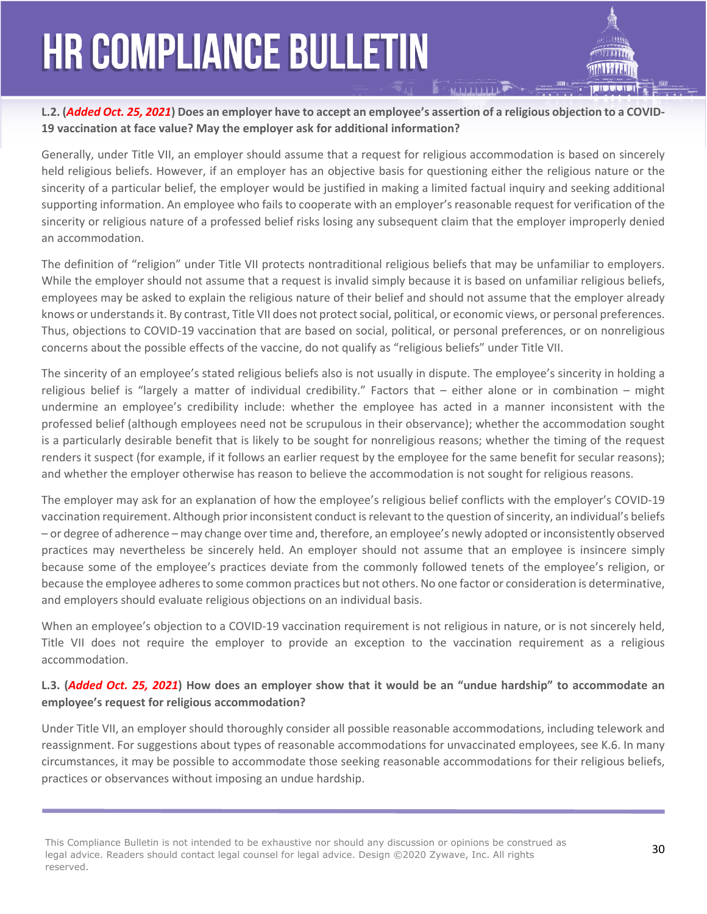#### **L.2. (***Added Oct. 25, 2021***) Does an employer have to accept an employee's assertion of a religious objection to a COVID-19 vaccination at face value? May the employer ask for additional information?**

Generally, under Title VII, an employer should assume that a request for religious accommodation is based on sincerely held religious beliefs. However, if an employer has an objective basis for questioning either the religious nature or the sincerity of a particular belief, the employer would be justified in making a limited factual inquiry and seeking additional supporting information. An employee who fails to cooperate with an employer's reasonable request for verification of the sincerity or religious nature of a professed belief risks losing any subsequent claim that the employer improperly denied an accommodation.

The definition of "religion" under Title VII protects nontraditional religious beliefs that may be unfamiliar to employers. While the employer should not assume that a request is invalid simply because it is based on unfamiliar religious beliefs, employees may be asked to explain the religious nature of their belief and should not assume that the employer already knows or understands it. By contrast, Title VII does not protect social, political, or economic views, or personal preferences. Thus, objections to COVID-19 vaccination that are based on social, political, or personal preferences, or on nonreligious concerns about the possible effects of the vaccine, do not qualify as "religious beliefs" under Title VII.

The sincerity of an employee's stated religious beliefs also is not usually in dispute. The employee's sincerity in holding a religious belief is "largely a matter of individual credibility." Factors that – either alone or in combination – might undermine an employee's credibility include: whether the employee has acted in a manner inconsistent with the professed belief (although employees need not be scrupulous in their observance); whether the accommodation sought is a particularly desirable benefit that is likely to be sought for nonreligious reasons; whether the timing of the request renders it suspect (for example, if it follows an earlier request by the employee for the same benefit for secular reasons); and whether the employer otherwise has reason to believe the accommodation is not sought for religious reasons.

The employer may ask for an explanation of how the employee's religious belief conflicts with the employer's COVID-19 vaccination requirement. Although prior inconsistent conduct is relevant to the question of sincerity, an individual's beliefs – or degree of adherence – may change over time and, therefore, an employee's newly adopted or inconsistently observed practices may nevertheless be sincerely held. An employer should not assume that an employee is insincere simply because some of the employee's practices deviate from the commonly followed tenets of the employee's religion, or because the employee adheres to some common practices but not others. No one factor or consideration is determinative, and employers should evaluate religious objections on an individual basis.

When an employee's objection to a COVID-19 vaccination requirement is not religious in nature, or is not sincerely held, Title VII does not require the employer to provide an exception to the vaccination requirement as a religious accommodation.

### **L.3. (***Added Oct. 25, 2021***) How does an employer show that it would be an "undue hardship" to accommodate an employee's request for religious accommodation?**

Under Title VII, an employer should thoroughly consider all possible reasonable accommodations, including telework and reassignment. For suggestions about types of reasonable accommodations for unvaccinated employees, see K.6. In many circumstances, it may be possible to accommodate those seeking reasonable accommodations for their religious beliefs, practices or observances without imposing an undue hardship.

This Compliance Bulletin is not intended to be exhaustive nor should any discussion or opinions be construed as **30**<br>Legal advised Readers should agate these second for legal advised Reign @2020 7ennews Tag All with the **S** legal advice. Readers should contact legal counsel for legal advice. Design ©2020 Zywave, Inc. All rights reserved.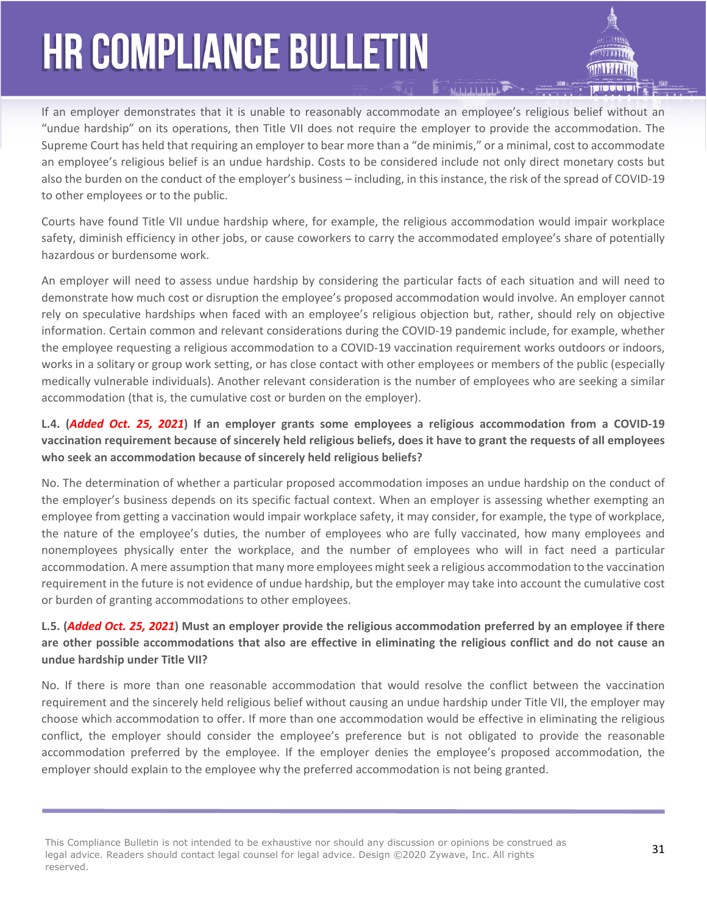If an employer demonstrates that it is unable to reasonably accommodate an employee's religious belief without an "undue hardship" on its operations, then Title VII does not require the employer to provide the accommodation. The Supreme Court has held that requiring an employer to bear more than a "de minimis," or a minimal, cost to accommodate an employee's religious belief is an undue hardship. Costs to be considered include not only direct monetary costs but also the burden on the conduct of the employer's business – including, in this instance, the risk of the spread of COVID-19 to other employees or to the public.

Courts have found Title VII undue hardship where, for example, the religious accommodation would impair workplace safety, diminish efficiency in other jobs, or cause coworkers to carry the accommodated employee's share of potentially hazardous or burdensome work.

An employer will need to assess undue hardship by considering the particular facts of each situation and will need to demonstrate how much cost or disruption the employee's proposed accommodation would involve. An employer cannot rely on speculative hardships when faced with an employee's religious objection but, rather, should rely on objective information. Certain common and relevant considerations during the COVID-19 pandemic include, for example, whether the employee requesting a religious accommodation to a COVID-19 vaccination requirement works outdoors or indoors, works in a solitary or group work setting, or has close contact with other employees or members of the public (especially medically vulnerable individuals). Another relevant consideration is the number of employees who are seeking a similar accommodation (that is, the cumulative cost or burden on the employer).

### **L.4. (***Added Oct. 25, 2021***) If an employer grants some employees a religious accommodation from a COVID-19 vaccination requirement because of sincerely held religious beliefs, does it have to grant the requests of all employees who seek an accommodation because of sincerely held religious beliefs?**

No. The determination of whether a particular proposed accommodation imposes an undue hardship on the conduct of the employer's business depends on its specific factual context. When an employer is assessing whether exempting an employee from getting a vaccination would impair workplace safety, it may consider, for example, the type of workplace, the nature of the employee's duties, the number of employees who are fully vaccinated, how many employees and nonemployees physically enter the workplace, and the number of employees who will in fact need a particular accommodation. A mere assumption that many more employees might seek a religious accommodation to the vaccination requirement in the future is not evidence of undue hardship, but the employer may take into account the cumulative cost or burden of granting accommodations to other employees.

### **L.5. (***Added Oct. 25, 2021***) Must an employer provide the religious accommodation preferred by an employee if there are other possible accommodations that also are effective in eliminating the religious conflict and do not cause an undue hardship under Title VII?**

No. If there is more than one reasonable accommodation that would resolve the conflict between the vaccination requirement and the sincerely held religious belief without causing an undue hardship under Title VII, the employer may choose which accommodation to offer. If more than one accommodation would be effective in eliminating the religious conflict, the employer should consider the employee's preference but is not obligated to provide the reasonable accommodation preferred by the employee. If the employer denies the employee's proposed accommodation, the employer should explain to the employee why the preferred accommodation is not being granted.

This Compliance Bulletin is not intended to be exhaustive nor should any discussion or opinions be construed as **31** The construed as **31** legal advice. Readers should contact legal counsel for legal advice. Design ©2020 Zywave, Inc. All rights reserved.